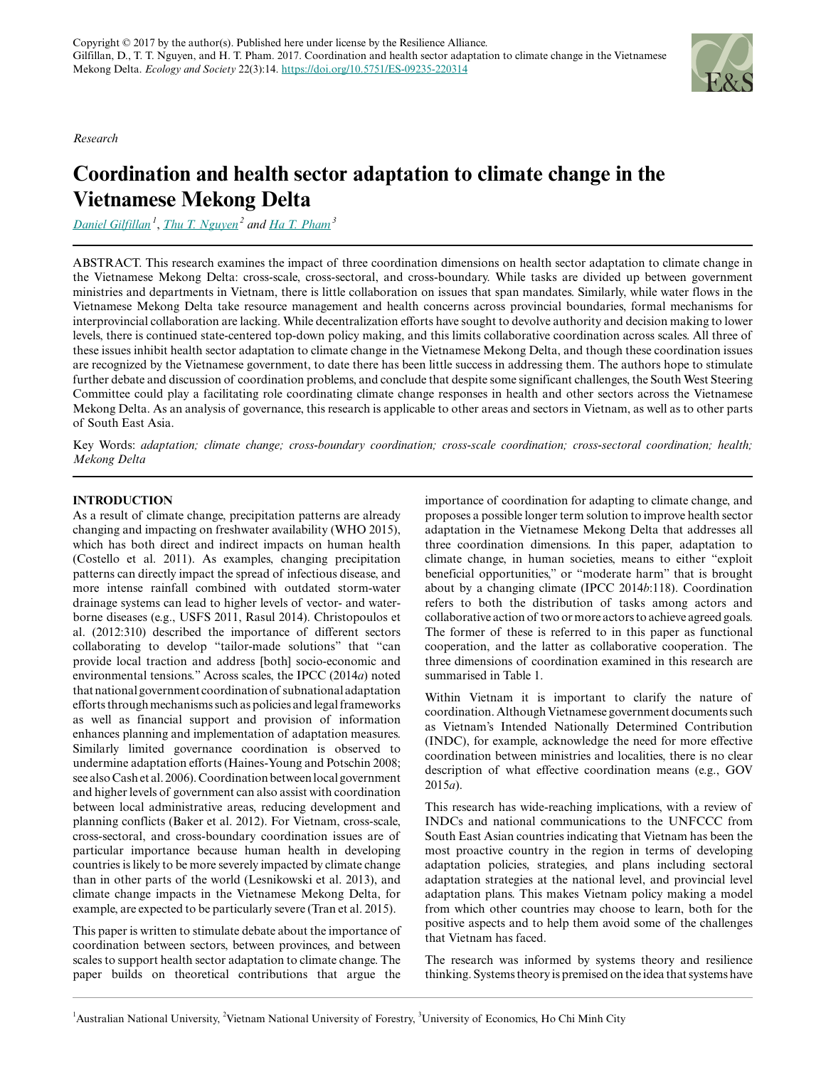*Research*



# **Coordination and health sector adaptation to climate change in the Vietnamese Mekong Delta**

*[Daniel Gilfillan](mailto:daniel.gilfillan@anu.edu.au)<sup>1</sup>* , *[Thu T. Nguyen](mailto:thu.nguyen.2k14@gmail.com)<sup>2</sup> and [Ha T. Pham](mailto:hapt@ueh.edu.vn)<sup>3</sup>*

ABSTRACT. This research examines the impact of three coordination dimensions on health sector adaptation to climate change in the Vietnamese Mekong Delta: cross-scale, cross-sectoral, and cross-boundary. While tasks are divided up between government ministries and departments in Vietnam, there is little collaboration on issues that span mandates. Similarly, while water flows in the Vietnamese Mekong Delta take resource management and health concerns across provincial boundaries, formal mechanisms for interprovincial collaboration are lacking. While decentralization efforts have sought to devolve authority and decision making to lower levels, there is continued state-centered top-down policy making, and this limits collaborative coordination across scales. All three of these issues inhibit health sector adaptation to climate change in the Vietnamese Mekong Delta, and though these coordination issues are recognized by the Vietnamese government, to date there has been little success in addressing them. The authors hope to stimulate further debate and discussion of coordination problems, and conclude that despite some significant challenges, the South West Steering Committee could play a facilitating role coordinating climate change responses in health and other sectors across the Vietnamese Mekong Delta. As an analysis of governance, this research is applicable to other areas and sectors in Vietnam, as well as to other parts of South East Asia.

Key Words: *adaptation; climate change; cross-boundary coordination; cross-scale coordination; cross-sectoral coordination; health; Mekong Delta*

# **INTRODUCTION**

As a result of climate change, precipitation patterns are already changing and impacting on freshwater availability (WHO 2015), which has both direct and indirect impacts on human health (Costello et al. 2011). As examples, changing precipitation patterns can directly impact the spread of infectious disease, and more intense rainfall combined with outdated storm-water drainage systems can lead to higher levels of vector- and waterborne diseases (e.g., USFS 2011, Rasul 2014). Christopoulos et al. (2012:310) described the importance of different sectors collaborating to develop "tailor-made solutions" that "can provide local traction and address [both] socio-economic and environmental tensions." Across scales, the IPCC (2014*a*) noted that national government coordination of subnational adaptation efforts through mechanisms such as policies and legal frameworks as well as financial support and provision of information enhances planning and implementation of adaptation measures. Similarly limited governance coordination is observed to undermine adaptation efforts (Haines-Young and Potschin 2008; see also Cash et al. 2006). Coordination between local government and higher levels of government can also assist with coordination between local administrative areas, reducing development and planning conflicts (Baker et al. 2012). For Vietnam, cross-scale, cross-sectoral, and cross-boundary coordination issues are of particular importance because human health in developing countries is likely to be more severely impacted by climate change than in other parts of the world (Lesnikowski et al. 2013), and climate change impacts in the Vietnamese Mekong Delta, for example, are expected to be particularly severe (Tran et al. 2015).

This paper is written to stimulate debate about the importance of coordination between sectors, between provinces, and between scales to support health sector adaptation to climate change. The paper builds on theoretical contributions that argue the

importance of coordination for adapting to climate change, and proposes a possible longer term solution to improve health sector adaptation in the Vietnamese Mekong Delta that addresses all three coordination dimensions. In this paper, adaptation to climate change, in human societies, means to either "exploit beneficial opportunities," or "moderate harm" that is brought about by a changing climate (IPCC 2014*b*:118). Coordination refers to both the distribution of tasks among actors and collaborative action of two or more actors to achieve agreed goals. The former of these is referred to in this paper as functional cooperation, and the latter as collaborative cooperation. The three dimensions of coordination examined in this research are summarised in Table 1.

Within Vietnam it is important to clarify the nature of coordination. Although Vietnamese government documents such as Vietnam's Intended Nationally Determined Contribution (INDC), for example, acknowledge the need for more effective coordination between ministries and localities, there is no clear description of what effective coordination means (e.g., GOV 2015*a*).

This research has wide-reaching implications, with a review of INDCs and national communications to the UNFCCC from South East Asian countries indicating that Vietnam has been the most proactive country in the region in terms of developing adaptation policies, strategies, and plans including sectoral adaptation strategies at the national level, and provincial level adaptation plans. This makes Vietnam policy making a model from which other countries may choose to learn, both for the positive aspects and to help them avoid some of the challenges that Vietnam has faced.

The research was informed by systems theory and resilience thinking. Systems theory is premised on the idea that systems have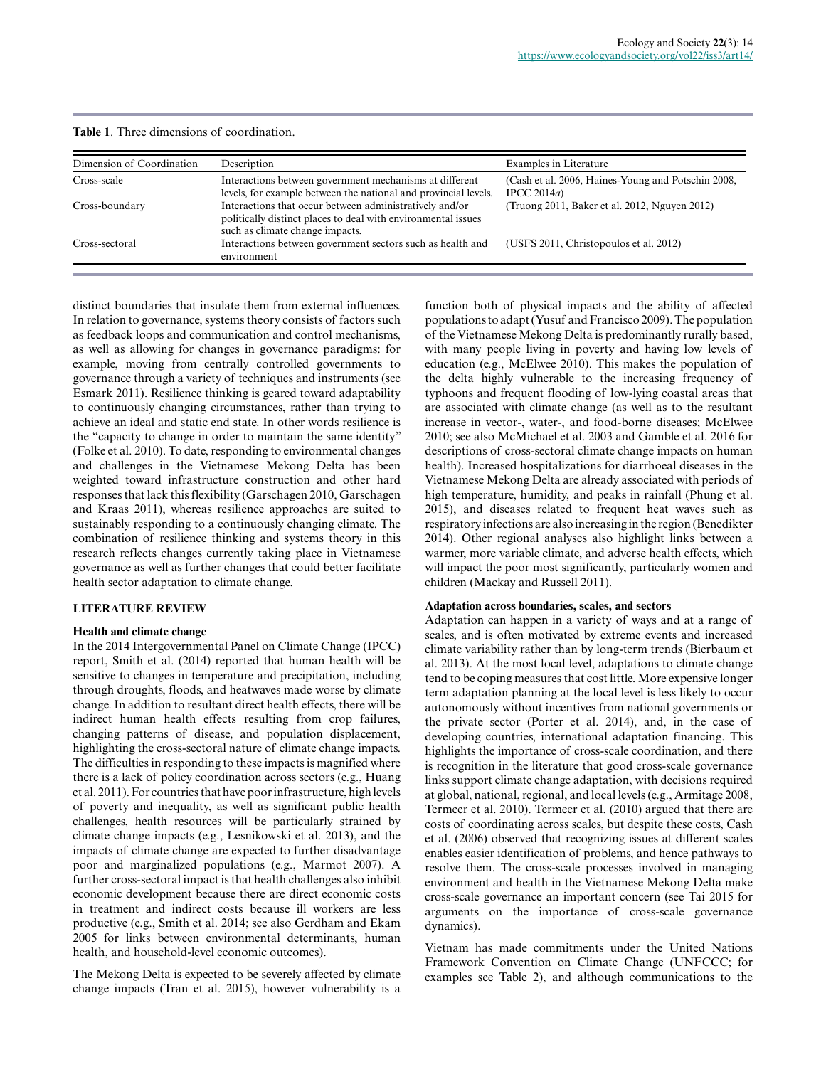| <b>Table 1.</b> Three dimensions of coordination. |
|---------------------------------------------------|
|                                                   |

| Dimension of Coordination | Description                                                                                                                                                 | Examples in Literature<br>(Cash et al. 2006, Haines-Young and Potschin 2008,<br>IPCC $2014a$ |  |
|---------------------------|-------------------------------------------------------------------------------------------------------------------------------------------------------------|----------------------------------------------------------------------------------------------|--|
| Cross-scale               | Interactions between government mechanisms at different<br>levels, for example between the national and provincial levels.                                  |                                                                                              |  |
| Cross-boundary            | Interactions that occur between administratively and/or<br>politically distinct places to deal with environmental issues<br>such as climate change impacts. | (Truong 2011, Baker et al. 2012, Nguyen 2012)                                                |  |
| Cross-sectoral            | Interactions between government sectors such as health and<br>environment                                                                                   | (USFS 2011, Christopoulos et al. 2012)                                                       |  |

distinct boundaries that insulate them from external influences. In relation to governance, systems theory consists of factors such as feedback loops and communication and control mechanisms, as well as allowing for changes in governance paradigms: for example, moving from centrally controlled governments to governance through a variety of techniques and instruments (see Esmark 2011). Resilience thinking is geared toward adaptability to continuously changing circumstances, rather than trying to achieve an ideal and static end state. In other words resilience is the "capacity to change in order to maintain the same identity" (Folke et al. 2010). To date, responding to environmental changes and challenges in the Vietnamese Mekong Delta has been weighted toward infrastructure construction and other hard responses that lack this flexibility (Garschagen 2010, Garschagen and Kraas 2011), whereas resilience approaches are suited to sustainably responding to a continuously changing climate. The combination of resilience thinking and systems theory in this research reflects changes currently taking place in Vietnamese governance as well as further changes that could better facilitate health sector adaptation to climate change.

## **LITERATURE REVIEW**

#### **Health and climate change**

In the 2014 Intergovernmental Panel on Climate Change (IPCC) report, Smith et al. (2014) reported that human health will be sensitive to changes in temperature and precipitation, including through droughts, floods, and heatwaves made worse by climate change. In addition to resultant direct health effects, there will be indirect human health effects resulting from crop failures, changing patterns of disease, and population displacement, highlighting the cross-sectoral nature of climate change impacts. The difficulties in responding to these impacts is magnified where there is a lack of policy coordination across sectors (e.g., Huang et al. 2011). For countries that have poor infrastructure, high levels of poverty and inequality, as well as significant public health challenges, health resources will be particularly strained by climate change impacts (e.g., Lesnikowski et al. 2013), and the impacts of climate change are expected to further disadvantage poor and marginalized populations (e.g., Marmot 2007). A further cross-sectoral impact is that health challenges also inhibit economic development because there are direct economic costs in treatment and indirect costs because ill workers are less productive (e.g., Smith et al. 2014; see also Gerdham and Ekam 2005 for links between environmental determinants, human health, and household-level economic outcomes).

The Mekong Delta is expected to be severely affected by climate change impacts (Tran et al. 2015), however vulnerability is a function both of physical impacts and the ability of affected populations to adapt (Yusuf and Francisco 2009). The population of the Vietnamese Mekong Delta is predominantly rurally based, with many people living in poverty and having low levels of education (e.g., McElwee 2010). This makes the population of the delta highly vulnerable to the increasing frequency of typhoons and frequent flooding of low-lying coastal areas that are associated with climate change (as well as to the resultant increase in vector-, water-, and food-borne diseases; McElwee 2010; see also McMichael et al. 2003 and Gamble et al. 2016 for descriptions of cross-sectoral climate change impacts on human health). Increased hospitalizations for diarrhoeal diseases in the Vietnamese Mekong Delta are already associated with periods of high temperature, humidity, and peaks in rainfall (Phung et al. 2015), and diseases related to frequent heat waves such as respiratory infections are also increasing in the region (Benedikter 2014). Other regional analyses also highlight links between a warmer, more variable climate, and adverse health effects, which will impact the poor most significantly, particularly women and children (Mackay and Russell 2011).

## **Adaptation across boundaries, scales, and sectors**

Adaptation can happen in a variety of ways and at a range of scales, and is often motivated by extreme events and increased climate variability rather than by long-term trends (Bierbaum et al. 2013). At the most local level, adaptations to climate change tend to be coping measures that cost little. More expensive longer term adaptation planning at the local level is less likely to occur autonomously without incentives from national governments or the private sector (Porter et al. 2014), and, in the case of developing countries, international adaptation financing. This highlights the importance of cross-scale coordination, and there is recognition in the literature that good cross-scale governance links support climate change adaptation, with decisions required at global, national, regional, and local levels (e.g., Armitage 2008, Termeer et al. 2010). Termeer et al. (2010) argued that there are costs of coordinating across scales, but despite these costs, Cash et al. (2006) observed that recognizing issues at different scales enables easier identification of problems, and hence pathways to resolve them. The cross-scale processes involved in managing environment and health in the Vietnamese Mekong Delta make cross-scale governance an important concern (see Tai 2015 for arguments on the importance of cross-scale governance dynamics).

Vietnam has made commitments under the United Nations Framework Convention on Climate Change (UNFCCC; for examples see Table 2), and although communications to the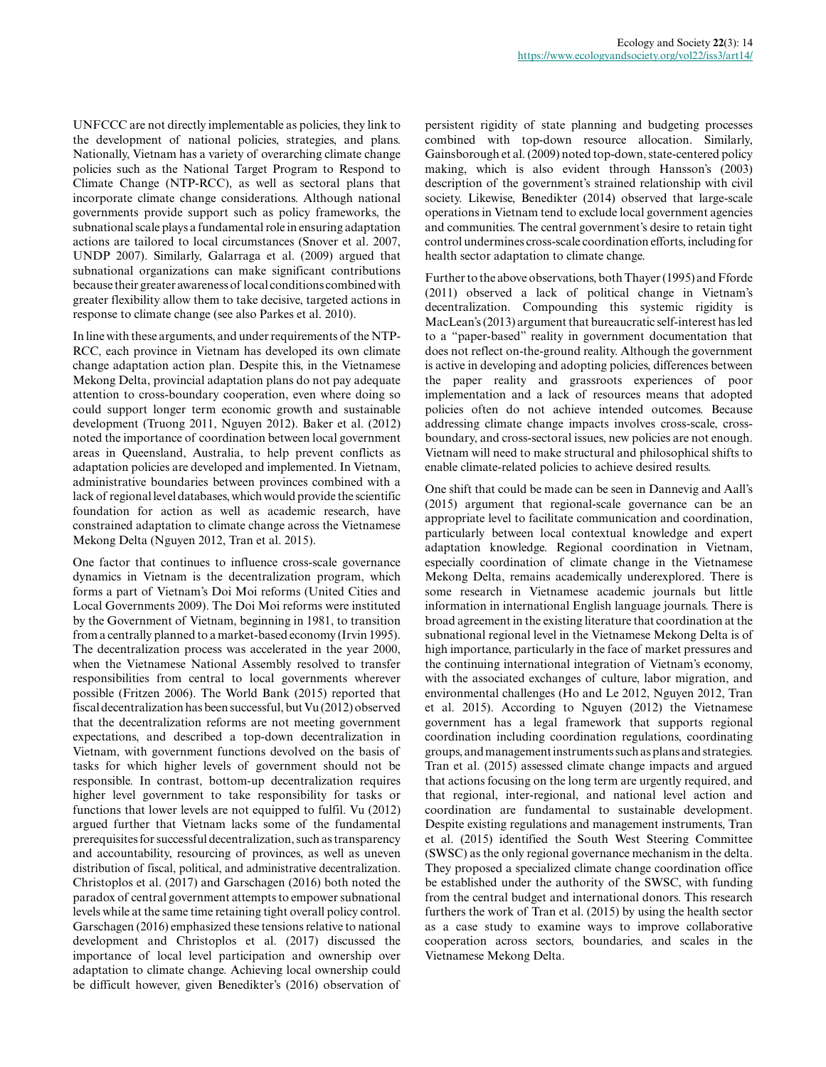UNFCCC are not directly implementable as policies, they link to the development of national policies, strategies, and plans. Nationally, Vietnam has a variety of overarching climate change policies such as the National Target Program to Respond to Climate Change (NTP-RCC), as well as sectoral plans that incorporate climate change considerations. Although national governments provide support such as policy frameworks, the subnational scale plays a fundamental role in ensuring adaptation actions are tailored to local circumstances (Snover et al. 2007, UNDP 2007). Similarly, Galarraga et al. (2009) argued that subnational organizations can make significant contributions because their greater awareness of local conditions combined with greater flexibility allow them to take decisive, targeted actions in response to climate change (see also Parkes et al. 2010).

In line with these arguments, and under requirements of the NTP-RCC, each province in Vietnam has developed its own climate change adaptation action plan. Despite this, in the Vietnamese Mekong Delta, provincial adaptation plans do not pay adequate attention to cross-boundary cooperation, even where doing so could support longer term economic growth and sustainable development (Truong 2011, Nguyen 2012). Baker et al. (2012) noted the importance of coordination between local government areas in Queensland, Australia, to help prevent conflicts as adaptation policies are developed and implemented. In Vietnam, administrative boundaries between provinces combined with a lack of regional level databases, which would provide the scientific foundation for action as well as academic research, have constrained adaptation to climate change across the Vietnamese Mekong Delta (Nguyen 2012, Tran et al. 2015).

One factor that continues to influence cross-scale governance dynamics in Vietnam is the decentralization program, which forms a part of Vietnam's Doi Moi reforms (United Cities and Local Governments 2009). The Doi Moi reforms were instituted by the Government of Vietnam, beginning in 1981, to transition from a centrally planned to a market-based economy (Irvin 1995). The decentralization process was accelerated in the year 2000, when the Vietnamese National Assembly resolved to transfer responsibilities from central to local governments wherever possible (Fritzen 2006). The World Bank (2015) reported that fiscal decentralization has been successful, but Vu (2012) observed that the decentralization reforms are not meeting government expectations, and described a top-down decentralization in Vietnam, with government functions devolved on the basis of tasks for which higher levels of government should not be responsible. In contrast, bottom-up decentralization requires higher level government to take responsibility for tasks or functions that lower levels are not equipped to fulfil. Vu (2012) argued further that Vietnam lacks some of the fundamental prerequisites for successful decentralization, such as transparency and accountability, resourcing of provinces, as well as uneven distribution of fiscal, political, and administrative decentralization. Christoplos et al. (2017) and Garschagen (2016) both noted the paradox of central government attempts to empower subnational levels while at the same time retaining tight overall policy control. Garschagen (2016) emphasized these tensions relative to national development and Christoplos et al. (2017) discussed the importance of local level participation and ownership over adaptation to climate change. Achieving local ownership could be difficult however, given Benedikter's (2016) observation of

persistent rigidity of state planning and budgeting processes combined with top-down resource allocation. Similarly, Gainsborough et al. (2009) noted top-down, state-centered policy making, which is also evident through Hansson's (2003) description of the government's strained relationship with civil society. Likewise, Benedikter (2014) observed that large-scale operations in Vietnam tend to exclude local government agencies and communities. The central government's desire to retain tight control undermines cross-scale coordination efforts, including for health sector adaptation to climate change.

Further to the above observations, both Thayer (1995) and Fforde (2011) observed a lack of political change in Vietnam's decentralization. Compounding this systemic rigidity is MacLean's (2013) argument that bureaucratic self-interest has led to a "paper-based" reality in government documentation that does not reflect on-the-ground reality. Although the government is active in developing and adopting policies, differences between the paper reality and grassroots experiences of poor implementation and a lack of resources means that adopted policies often do not achieve intended outcomes. Because addressing climate change impacts involves cross-scale, crossboundary, and cross-sectoral issues, new policies are not enough. Vietnam will need to make structural and philosophical shifts to enable climate-related policies to achieve desired results.

One shift that could be made can be seen in Dannevig and Aall's (2015) argument that regional-scale governance can be an appropriate level to facilitate communication and coordination, particularly between local contextual knowledge and expert adaptation knowledge. Regional coordination in Vietnam, especially coordination of climate change in the Vietnamese Mekong Delta, remains academically underexplored. There is some research in Vietnamese academic journals but little information in international English language journals. There is broad agreement in the existing literature that coordination at the subnational regional level in the Vietnamese Mekong Delta is of high importance, particularly in the face of market pressures and the continuing international integration of Vietnam's economy, with the associated exchanges of culture, labor migration, and environmental challenges (Ho and Le 2012, Nguyen 2012, Tran et al. 2015). According to Nguyen (2012) the Vietnamese government has a legal framework that supports regional coordination including coordination regulations, coordinating groups, and management instruments such as plans and strategies. Tran et al. (2015) assessed climate change impacts and argued that actions focusing on the long term are urgently required, and that regional, inter-regional, and national level action and coordination are fundamental to sustainable development. Despite existing regulations and management instruments, Tran et al. (2015) identified the South West Steering Committee (SWSC) as the only regional governance mechanism in the delta. They proposed a specialized climate change coordination office be established under the authority of the SWSC, with funding from the central budget and international donors. This research furthers the work of Tran et al. (2015) by using the health sector as a case study to examine ways to improve collaborative cooperation across sectors, boundaries, and scales in the Vietnamese Mekong Delta.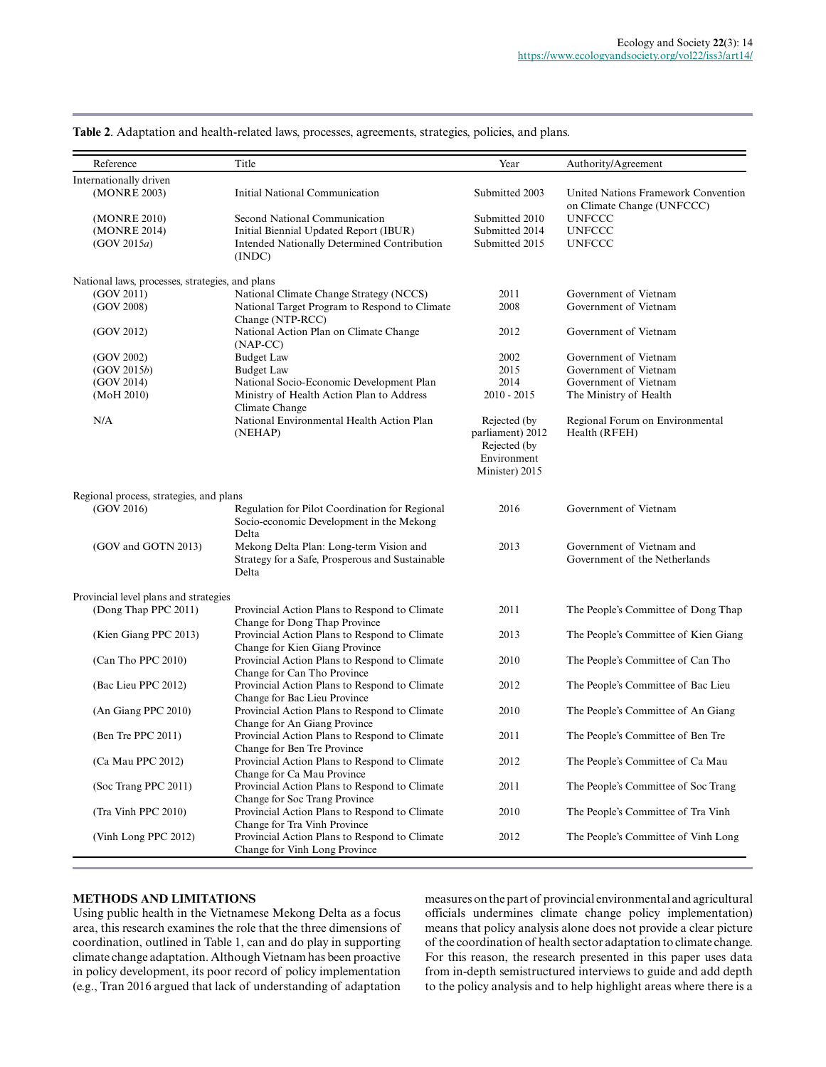| Reference                                       | Title                                                                                                          | Year                                                                              | Authority/Agreement                                        |
|-------------------------------------------------|----------------------------------------------------------------------------------------------------------------|-----------------------------------------------------------------------------------|------------------------------------------------------------|
| Internationally driven                          |                                                                                                                |                                                                                   |                                                            |
| (MONRE 2003)                                    | Initial National Communication                                                                                 | Submitted 2003                                                                    | United Nations Framework Convention                        |
|                                                 |                                                                                                                |                                                                                   | on Climate Change (UNFCCC)                                 |
| (MONRE 2010)                                    | Second National Communication                                                                                  | Submitted 2010                                                                    | <b>UNFCCC</b>                                              |
| (MONRE 2014)                                    | Initial Biennial Updated Report (IBUR)                                                                         | Submitted 2014                                                                    | <b>UNFCCC</b>                                              |
| (GOV 2015a)                                     | Intended Nationally Determined Contribution<br>(INDC)                                                          | Submitted 2015                                                                    | <b>UNFCCC</b>                                              |
| National laws, processes, strategies, and plans |                                                                                                                |                                                                                   |                                                            |
| (GOV 2011)                                      | National Climate Change Strategy (NCCS)                                                                        | 2011                                                                              | Government of Vietnam                                      |
| (GOV 2008)                                      | National Target Program to Respond to Climate<br>Change (NTP-RCC)                                              | 2008                                                                              | Government of Vietnam                                      |
| (GOV 2012)                                      | National Action Plan on Climate Change<br>$(NAP-CC)$                                                           | 2012                                                                              | Government of Vietnam                                      |
| (GOV 2002)                                      | <b>Budget Law</b>                                                                                              | 2002                                                                              | Government of Vietnam                                      |
| (GOV 2015b)                                     | <b>Budget Law</b>                                                                                              | 2015                                                                              | Government of Vietnam                                      |
| (GOV 2014)                                      | National Socio-Economic Development Plan                                                                       | 2014                                                                              | Government of Vietnam                                      |
| (MoH 2010)                                      | Ministry of Health Action Plan to Address<br>Climate Change                                                    | 2010 - 2015                                                                       | The Ministry of Health                                     |
| N/A                                             | National Environmental Health Action Plan<br>(NEHAP)                                                           | Rejected (by<br>parliament) 2012<br>Rejected (by<br>Environment<br>Minister) 2015 | Regional Forum on Environmental<br>Health (RFEH)           |
| Regional process, strategies, and plans         |                                                                                                                |                                                                                   |                                                            |
| (GOV 2016)                                      | Regulation for Pilot Coordination for Regional<br>Socio-economic Development in the Mekong<br><b>Delta</b>     | 2016                                                                              | Government of Vietnam                                      |
| (GOV and GOTN 2013)                             | Mekong Delta Plan: Long-term Vision and<br>Strategy for a Safe, Prosperous and Sustainable<br>Delta            | 2013                                                                              | Government of Vietnam and<br>Government of the Netherlands |
| Provincial level plans and strategies           |                                                                                                                |                                                                                   |                                                            |
| (Dong Thap PPC 2011)                            | Provincial Action Plans to Respond to Climate<br>Change for Dong Thap Province                                 | 2011                                                                              | The People's Committee of Dong Thap                        |
| (Kien Giang PPC 2013)                           | Provincial Action Plans to Respond to Climate<br>Change for Kien Giang Province                                | 2013                                                                              | The People's Committee of Kien Giang                       |
| (Can Tho PPC 2010)                              | Provincial Action Plans to Respond to Climate<br>Change for Can Tho Province                                   | 2010                                                                              | The People's Committee of Can Tho                          |
| (Bac Lieu PPC 2012)                             | Provincial Action Plans to Respond to Climate<br>Change for Bac Lieu Province                                  | 2012                                                                              | The People's Committee of Bac Lieu                         |
| (An Giang PPC 2010)                             | Provincial Action Plans to Respond to Climate<br>Change for An Giang Province                                  | 2010                                                                              | The People's Committee of An Giang                         |
| (Ben Tre PPC 2011)                              | Provincial Action Plans to Respond to Climate                                                                  | 2011                                                                              | The People's Committee of Ben Tre                          |
| (Ca Mau PPC 2012)                               | Change for Ben Tre Province<br>Provincial Action Plans to Respond to Climate                                   | 2012                                                                              | The People's Committee of Ca Mau                           |
| (Soc Trang PPC 2011)                            | Change for Ca Mau Province<br>Provincial Action Plans to Respond to Climate                                    | 2011                                                                              | The People's Committee of Soc Trang                        |
| (Tra Vinh PPC 2010)                             | Change for Soc Trang Province<br>Provincial Action Plans to Respond to Climate                                 | 2010                                                                              | The People's Committee of Tra Vinh                         |
| (Vinh Long PPC 2012)                            | Change for Tra Vinh Province<br>Provincial Action Plans to Respond to Climate<br>Change for Vinh Long Province | 2012                                                                              | The People's Committee of Vinh Long                        |

**Table 2**. Adaptation and health-related laws, processes, agreements, strategies, policies, and plans.

## **METHODS AND LIMITATIONS**

Using public health in the Vietnamese Mekong Delta as a focus area, this research examines the role that the three dimensions of coordination, outlined in Table 1, can and do play in supporting climate change adaptation. Although Vietnam has been proactive in policy development, its poor record of policy implementation (e.g., Tran 2016 argued that lack of understanding of adaptation

measures on the part of provincial environmental and agricultural officials undermines climate change policy implementation) means that policy analysis alone does not provide a clear picture of the coordination of health sector adaptation to climate change. For this reason, the research presented in this paper uses data from in-depth semistructured interviews to guide and add depth to the policy analysis and to help highlight areas where there is a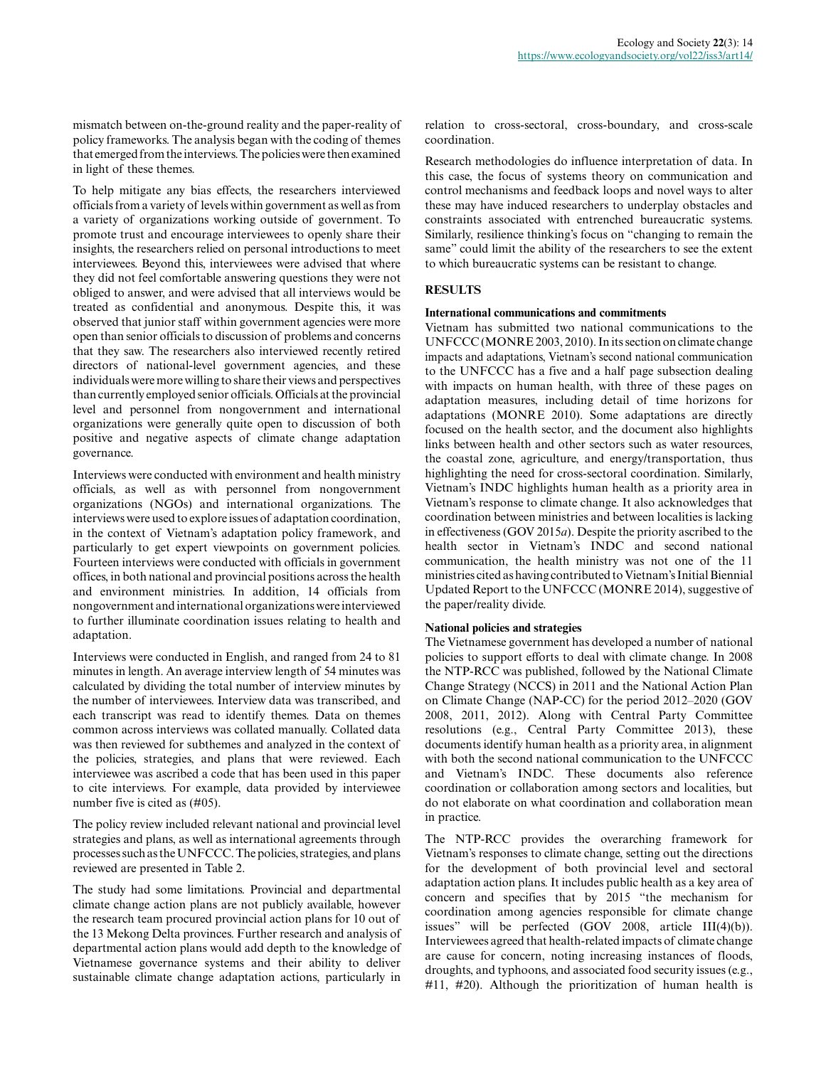mismatch between on-the-ground reality and the paper-reality of policy frameworks. The analysis began with the coding of themes that emerged from the interviews. The policies were then examined in light of these themes.

To help mitigate any bias effects, the researchers interviewed officials from a variety of levels within government as well as from a variety of organizations working outside of government. To promote trust and encourage interviewees to openly share their insights, the researchers relied on personal introductions to meet interviewees. Beyond this, interviewees were advised that where they did not feel comfortable answering questions they were not obliged to answer, and were advised that all interviews would be treated as confidential and anonymous. Despite this, it was observed that junior staff within government agencies were more open than senior officials to discussion of problems and concerns that they saw. The researchers also interviewed recently retired directors of national-level government agencies, and these individuals were more willing to share their views and perspectives than currently employed senior officials. Officials at the provincial level and personnel from nongovernment and international organizations were generally quite open to discussion of both positive and negative aspects of climate change adaptation governance.

Interviews were conducted with environment and health ministry officials, as well as with personnel from nongovernment organizations (NGOs) and international organizations. The interviews were used to explore issues of adaptation coordination, in the context of Vietnam's adaptation policy framework, and particularly to get expert viewpoints on government policies. Fourteen interviews were conducted with officials in government offices, in both national and provincial positions across the health and environment ministries. In addition, 14 officials from nongovernment and international organizations were interviewed to further illuminate coordination issues relating to health and adaptation.

Interviews were conducted in English, and ranged from 24 to 81 minutes in length. An average interview length of 54 minutes was calculated by dividing the total number of interview minutes by the number of interviewees. Interview data was transcribed, and each transcript was read to identify themes. Data on themes common across interviews was collated manually. Collated data was then reviewed for subthemes and analyzed in the context of the policies, strategies, and plans that were reviewed. Each interviewee was ascribed a code that has been used in this paper to cite interviews. For example, data provided by interviewee number five is cited as (#05).

The policy review included relevant national and provincial level strategies and plans, as well as international agreements through processes such as the UNFCCC. The policies, strategies, and plans reviewed are presented in Table 2.

The study had some limitations. Provincial and departmental climate change action plans are not publicly available, however the research team procured provincial action plans for 10 out of the 13 Mekong Delta provinces. Further research and analysis of departmental action plans would add depth to the knowledge of Vietnamese governance systems and their ability to deliver sustainable climate change adaptation actions, particularly in

relation to cross-sectoral, cross-boundary, and cross-scale coordination.

Research methodologies do influence interpretation of data. In this case, the focus of systems theory on communication and control mechanisms and feedback loops and novel ways to alter these may have induced researchers to underplay obstacles and constraints associated with entrenched bureaucratic systems. Similarly, resilience thinking's focus on "changing to remain the same" could limit the ability of the researchers to see the extent to which bureaucratic systems can be resistant to change.

# **RESULTS**

## **International communications and commitments**

Vietnam has submitted two national communications to the UNFCCC (MONRE 2003, 2010). In its section on climate change impacts and adaptations, Vietnam's second national communication to the UNFCCC has a five and a half page subsection dealing with impacts on human health, with three of these pages on adaptation measures, including detail of time horizons for adaptations (MONRE 2010). Some adaptations are directly focused on the health sector, and the document also highlights links between health and other sectors such as water resources, the coastal zone, agriculture, and energy/transportation, thus highlighting the need for cross-sectoral coordination. Similarly, Vietnam's INDC highlights human health as a priority area in Vietnam's response to climate change. It also acknowledges that coordination between ministries and between localities is lacking in effectiveness (GOV 2015*a*). Despite the priority ascribed to the health sector in Vietnam's INDC and second national communication, the health ministry was not one of the 11 ministries cited as having contributed to Vietnam's Initial Biennial Updated Report to the UNFCCC (MONRE 2014), suggestive of the paper/reality divide.

## **National policies and strategies**

The Vietnamese government has developed a number of national policies to support efforts to deal with climate change. In 2008 the NTP-RCC was published, followed by the National Climate Change Strategy (NCCS) in 2011 and the National Action Plan on Climate Change (NAP-CC) for the period 2012–2020 (GOV 2008, 2011, 2012). Along with Central Party Committee resolutions (e.g., Central Party Committee 2013), these documents identify human health as a priority area, in alignment with both the second national communication to the UNFCCC and Vietnam's INDC. These documents also reference coordination or collaboration among sectors and localities, but do not elaborate on what coordination and collaboration mean in practice.

The NTP-RCC provides the overarching framework for Vietnam's responses to climate change, setting out the directions for the development of both provincial level and sectoral adaptation action plans. It includes public health as a key area of concern and specifies that by 2015 "the mechanism for coordination among agencies responsible for climate change issues" will be perfected  $(GOV 2008, article III(4)(b)).$ Interviewees agreed that health-related impacts of climate change are cause for concern, noting increasing instances of floods, droughts, and typhoons, and associated food security issues (e.g., #11, #20). Although the prioritization of human health is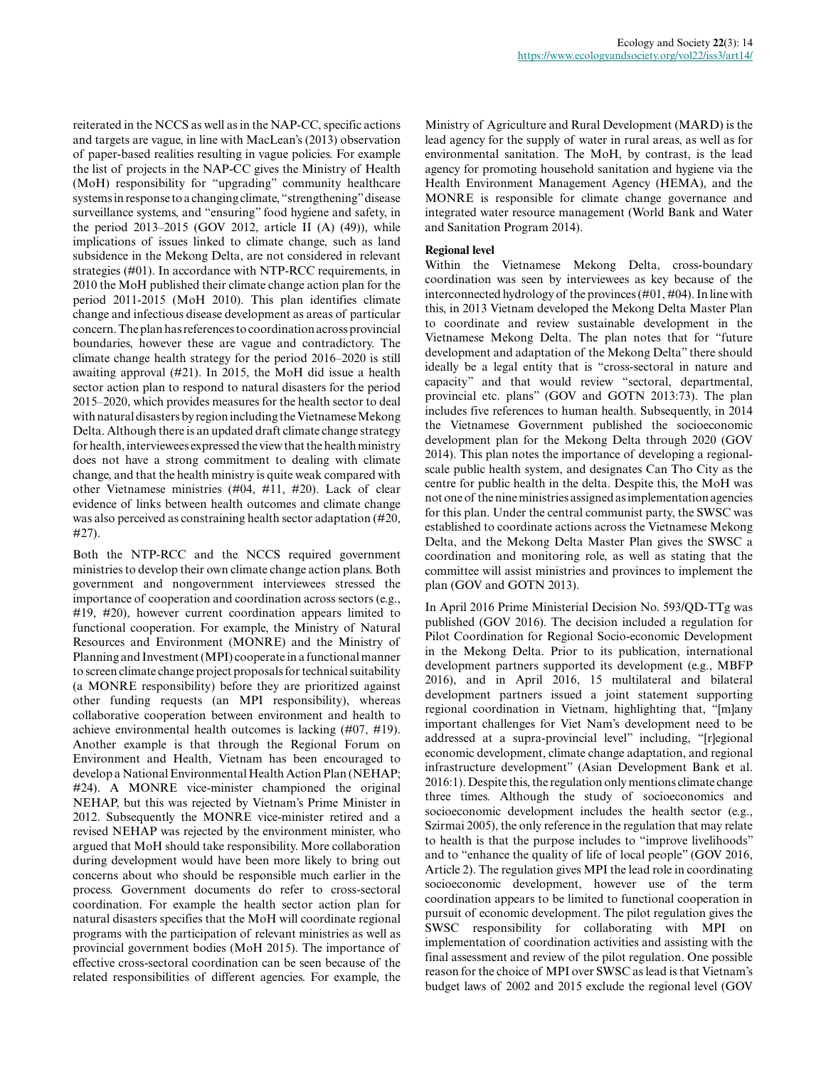reiterated in the NCCS as well as in the NAP-CC, specific actions and targets are vague, in line with MacLean's (2013) observation of paper-based realities resulting in vague policies. For example the list of projects in the NAP-CC gives the Ministry of Health (MoH) responsibility for "upgrading" community healthcare systems in response to a changing climate, "strengthening" disease surveillance systems, and "ensuring" food hygiene and safety, in the period  $2013-2015$  (GOV 2012, article II (A) (49)), while implications of issues linked to climate change, such as land subsidence in the Mekong Delta, are not considered in relevant strategies (#01). In accordance with NTP-RCC requirements, in 2010 the MoH published their climate change action plan for the period 2011-2015 (MoH 2010). This plan identifies climate change and infectious disease development as areas of particular concern. The plan has references to coordination across provincial boundaries, however these are vague and contradictory. The climate change health strategy for the period 2016–2020 is still awaiting approval (#21). In 2015, the MoH did issue a health sector action plan to respond to natural disasters for the period 2015–2020, which provides measures for the health sector to deal with natural disasters by region including the Vietnamese Mekong Delta. Although there is an updated draft climate change strategy for health, interviewees expressed the view that the health ministry does not have a strong commitment to dealing with climate change, and that the health ministry is quite weak compared with other Vietnamese ministries (#04, #11, #20). Lack of clear evidence of links between health outcomes and climate change was also perceived as constraining health sector adaptation (#20, #27).

Both the NTP-RCC and the NCCS required government ministries to develop their own climate change action plans. Both government and nongovernment interviewees stressed the importance of cooperation and coordination across sectors (e.g., #19, #20), however current coordination appears limited to functional cooperation. For example, the Ministry of Natural Resources and Environment (MONRE) and the Ministry of Planning and Investment (MPI) cooperate in a functional manner to screen climate change project proposals for technical suitability (a MONRE responsibility) before they are prioritized against other funding requests (an MPI responsibility), whereas collaborative cooperation between environment and health to achieve environmental health outcomes is lacking (#07, #19). Another example is that through the Regional Forum on Environment and Health, Vietnam has been encouraged to develop a National Environmental Health Action Plan (NEHAP; #24). A MONRE vice-minister championed the original NEHAP, but this was rejected by Vietnam's Prime Minister in 2012. Subsequently the MONRE vice-minister retired and a revised NEHAP was rejected by the environment minister, who argued that MoH should take responsibility. More collaboration during development would have been more likely to bring out concerns about who should be responsible much earlier in the process. Government documents do refer to cross-sectoral coordination. For example the health sector action plan for natural disasters specifies that the MoH will coordinate regional programs with the participation of relevant ministries as well as provincial government bodies (MoH 2015). The importance of effective cross-sectoral coordination can be seen because of the related responsibilities of different agencies. For example, the

Ministry of Agriculture and Rural Development (MARD) is the lead agency for the supply of water in rural areas, as well as for environmental sanitation. The MoH, by contrast, is the lead agency for promoting household sanitation and hygiene via the Health Environment Management Agency (HEMA), and the MONRE is responsible for climate change governance and integrated water resource management (World Bank and Water and Sanitation Program 2014).

## **Regional level**

Within the Vietnamese Mekong Delta, cross-boundary coordination was seen by interviewees as key because of the interconnected hydrology of the provinces (#01, #04). In line with this, in 2013 Vietnam developed the Mekong Delta Master Plan to coordinate and review sustainable development in the Vietnamese Mekong Delta. The plan notes that for "future development and adaptation of the Mekong Delta" there should ideally be a legal entity that is "cross-sectoral in nature and capacity" and that would review "sectoral, departmental, provincial etc. plans" (GOV and GOTN 2013:73). The plan includes five references to human health. Subsequently, in 2014 the Vietnamese Government published the socioeconomic development plan for the Mekong Delta through 2020 (GOV 2014). This plan notes the importance of developing a regionalscale public health system, and designates Can Tho City as the centre for public health in the delta. Despite this, the MoH was not one of the nine ministries assigned as implementation agencies for this plan. Under the central communist party, the SWSC was established to coordinate actions across the Vietnamese Mekong Delta, and the Mekong Delta Master Plan gives the SWSC a coordination and monitoring role, as well as stating that the committee will assist ministries and provinces to implement the plan (GOV and GOTN 2013).

In April 2016 Prime Ministerial Decision No. 593/QD-TTg was published (GOV 2016). The decision included a regulation for Pilot Coordination for Regional Socio-economic Development in the Mekong Delta. Prior to its publication, international development partners supported its development (e.g., MBFP 2016), and in April 2016, 15 multilateral and bilateral development partners issued a joint statement supporting regional coordination in Vietnam, highlighting that, "[m]any important challenges for Viet Nam's development need to be addressed at a supra-provincial level" including, "[r]egional economic development, climate change adaptation, and regional infrastructure development" (Asian Development Bank et al. 2016:1). Despite this, the regulation only mentions climate change three times. Although the study of socioeconomics and socioeconomic development includes the health sector (e.g., Szirmai 2005), the only reference in the regulation that may relate to health is that the purpose includes to "improve livelihoods" and to "enhance the quality of life of local people" (GOV 2016, Article 2). The regulation gives MPI the lead role in coordinating socioeconomic development, however use of the term coordination appears to be limited to functional cooperation in pursuit of economic development. The pilot regulation gives the SWSC responsibility for collaborating with MPI on implementation of coordination activities and assisting with the final assessment and review of the pilot regulation. One possible reason for the choice of MPI over SWSC as lead is that Vietnam's budget laws of 2002 and 2015 exclude the regional level (GOV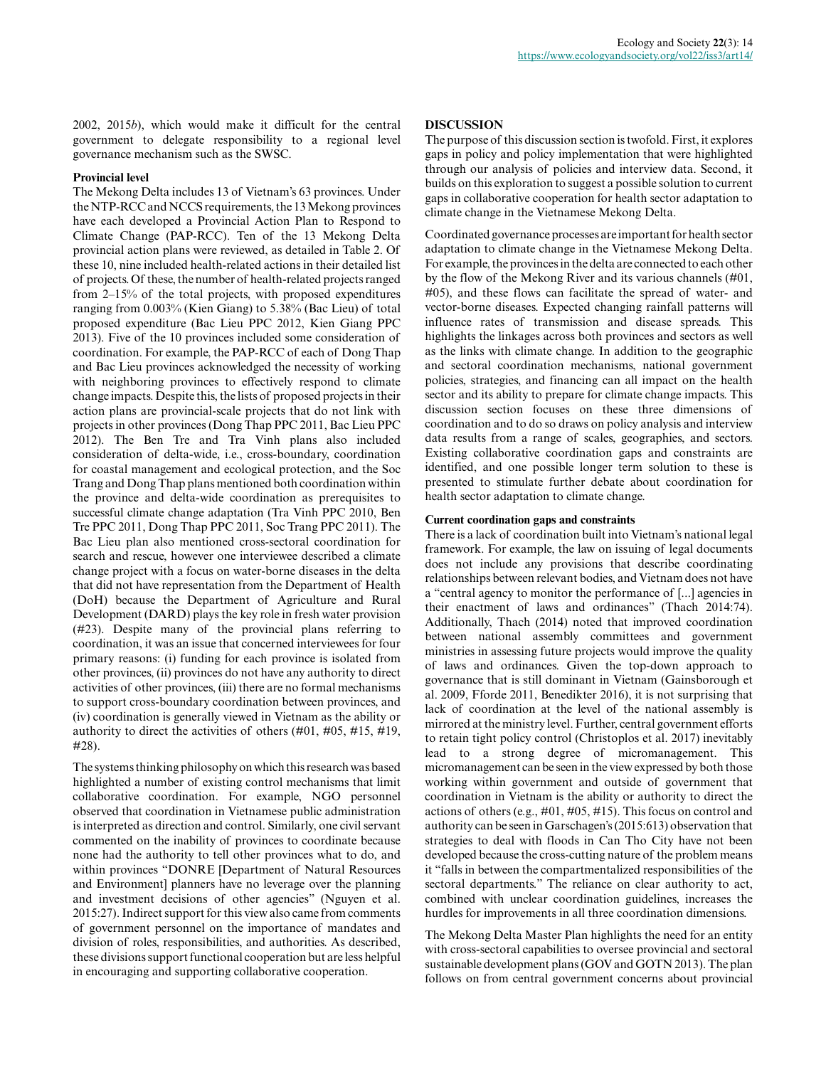2002, 2015*b*), which would make it difficult for the central government to delegate responsibility to a regional level governance mechanism such as the SWSC.

## **Provincial level**

The Mekong Delta includes 13 of Vietnam's 63 provinces. Under the NTP-RCC and NCCS requirements, the 13 Mekong provinces have each developed a Provincial Action Plan to Respond to Climate Change (PAP-RCC). Ten of the 13 Mekong Delta provincial action plans were reviewed, as detailed in Table 2. Of these 10, nine included health-related actions in their detailed list of projects. Of these, the number of health-related projects ranged from 2–15% of the total projects, with proposed expenditures ranging from 0.003% (Kien Giang) to 5.38% (Bac Lieu) of total proposed expenditure (Bac Lieu PPC 2012, Kien Giang PPC 2013). Five of the 10 provinces included some consideration of coordination. For example, the PAP-RCC of each of Dong Thap and Bac Lieu provinces acknowledged the necessity of working with neighboring provinces to effectively respond to climate change impacts. Despite this, the lists of proposed projects in their action plans are provincial-scale projects that do not link with projects in other provinces (Dong Thap PPC 2011, Bac Lieu PPC 2012). The Ben Tre and Tra Vinh plans also included consideration of delta-wide, i.e., cross-boundary, coordination for coastal management and ecological protection, and the Soc Trang and Dong Thap plans mentioned both coordination within the province and delta-wide coordination as prerequisites to successful climate change adaptation (Tra Vinh PPC 2010, Ben Tre PPC 2011, Dong Thap PPC 2011, Soc Trang PPC 2011). The Bac Lieu plan also mentioned cross-sectoral coordination for search and rescue, however one interviewee described a climate change project with a focus on water-borne diseases in the delta that did not have representation from the Department of Health (DoH) because the Department of Agriculture and Rural Development (DARD) plays the key role in fresh water provision (#23). Despite many of the provincial plans referring to coordination, it was an issue that concerned interviewees for four primary reasons: (i) funding for each province is isolated from other provinces, (ii) provinces do not have any authority to direct activities of other provinces, (iii) there are no formal mechanisms to support cross-boundary coordination between provinces, and (iv) coordination is generally viewed in Vietnam as the ability or authority to direct the activities of others (#01, #05, #15, #19, #28).

The systems thinking philosophy on which this research was based highlighted a number of existing control mechanisms that limit collaborative coordination. For example, NGO personnel observed that coordination in Vietnamese public administration is interpreted as direction and control. Similarly, one civil servant commented on the inability of provinces to coordinate because none had the authority to tell other provinces what to do, and within provinces "DONRE [Department of Natural Resources and Environment] planners have no leverage over the planning and investment decisions of other agencies" (Nguyen et al. 2015:27). Indirect support for this view also came from comments of government personnel on the importance of mandates and division of roles, responsibilities, and authorities. As described, these divisions support functional cooperation but are less helpful in encouraging and supporting collaborative cooperation.

## **DISCUSSION**

The purpose of this discussion section is twofold. First, it explores gaps in policy and policy implementation that were highlighted through our analysis of policies and interview data. Second, it builds on this exploration to suggest a possible solution to current gaps in collaborative cooperation for health sector adaptation to climate change in the Vietnamese Mekong Delta.

Coordinated governance processes are important for health sector adaptation to climate change in the Vietnamese Mekong Delta. For example, the provinces in the delta are connected to each other by the flow of the Mekong River and its various channels (#01, #05), and these flows can facilitate the spread of water- and vector-borne diseases. Expected changing rainfall patterns will influence rates of transmission and disease spreads. This highlights the linkages across both provinces and sectors as well as the links with climate change. In addition to the geographic and sectoral coordination mechanisms, national government policies, strategies, and financing can all impact on the health sector and its ability to prepare for climate change impacts. This discussion section focuses on these three dimensions of coordination and to do so draws on policy analysis and interview data results from a range of scales, geographies, and sectors. Existing collaborative coordination gaps and constraints are identified, and one possible longer term solution to these is presented to stimulate further debate about coordination for health sector adaptation to climate change.

#### **Current coordination gaps and constraints**

There is a lack of coordination built into Vietnam's national legal framework. For example, the law on issuing of legal documents does not include any provisions that describe coordinating relationships between relevant bodies, and Vietnam does not have a "central agency to monitor the performance of [...] agencies in their enactment of laws and ordinances" (Thach 2014:74). Additionally, Thach (2014) noted that improved coordination between national assembly committees and government ministries in assessing future projects would improve the quality of laws and ordinances. Given the top-down approach to governance that is still dominant in Vietnam (Gainsborough et al. 2009, Fforde 2011, Benedikter 2016), it is not surprising that lack of coordination at the level of the national assembly is mirrored at the ministry level. Further, central government efforts to retain tight policy control (Christoplos et al. 2017) inevitably lead to a strong degree of micromanagement. This micromanagement can be seen in the view expressed by both those working within government and outside of government that coordination in Vietnam is the ability or authority to direct the actions of others (e.g., #01, #05, #15). This focus on control and authority can be seen in Garschagen's (2015:613) observation that strategies to deal with floods in Can Tho City have not been developed because the cross-cutting nature of the problem means it "falls in between the compartmentalized responsibilities of the sectoral departments." The reliance on clear authority to act, combined with unclear coordination guidelines, increases the hurdles for improvements in all three coordination dimensions.

The Mekong Delta Master Plan highlights the need for an entity with cross-sectoral capabilities to oversee provincial and sectoral sustainable development plans (GOV and GOTN 2013). The plan follows on from central government concerns about provincial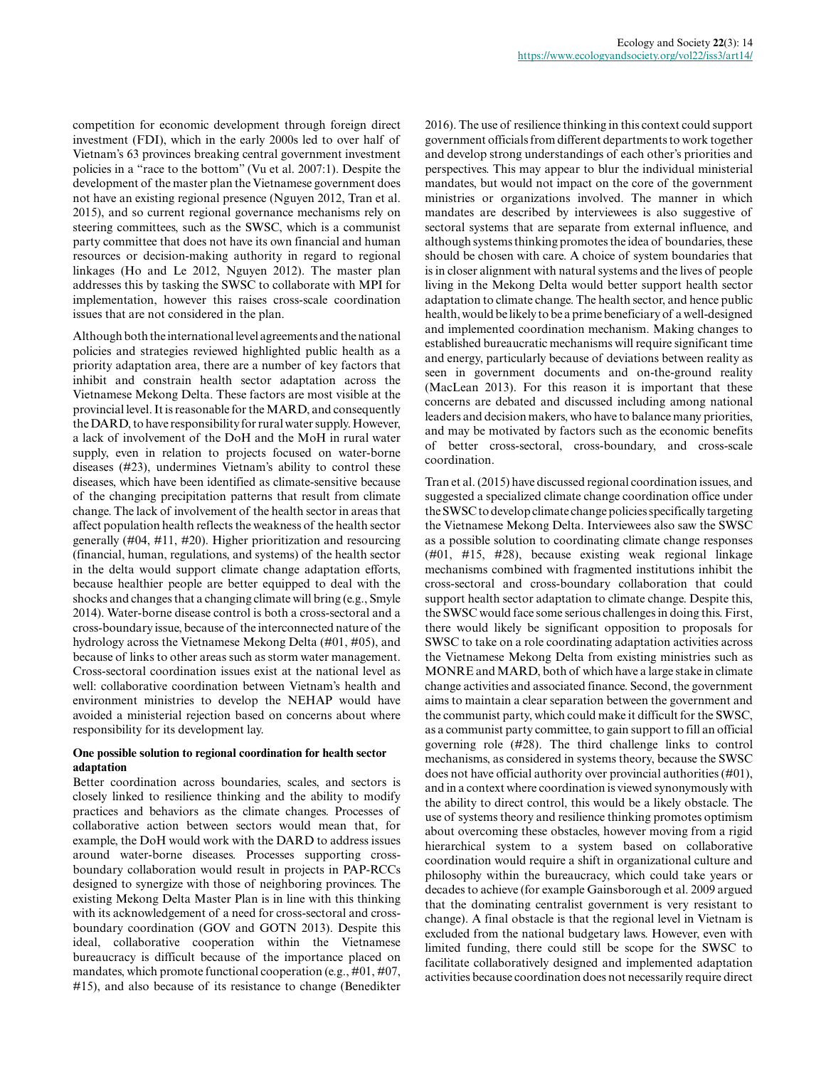competition for economic development through foreign direct investment (FDI), which in the early 2000s led to over half of Vietnam's 63 provinces breaking central government investment policies in a "race to the bottom" (Vu et al. 2007:1). Despite the development of the master plan the Vietnamese government does not have an existing regional presence (Nguyen 2012, Tran et al. 2015), and so current regional governance mechanisms rely on steering committees, such as the SWSC, which is a communist party committee that does not have its own financial and human resources or decision-making authority in regard to regional linkages (Ho and Le 2012, Nguyen 2012). The master plan addresses this by tasking the SWSC to collaborate with MPI for implementation, however this raises cross-scale coordination issues that are not considered in the plan.

Although both the international level agreements and the national policies and strategies reviewed highlighted public health as a priority adaptation area, there are a number of key factors that inhibit and constrain health sector adaptation across the Vietnamese Mekong Delta. These factors are most visible at the provincial level. It is reasonable for the MARD, and consequently the DARD, to have responsibility for rural water supply. However, a lack of involvement of the DoH and the MoH in rural water supply, even in relation to projects focused on water-borne diseases (#23), undermines Vietnam's ability to control these diseases, which have been identified as climate-sensitive because of the changing precipitation patterns that result from climate change. The lack of involvement of the health sector in areas that affect population health reflects the weakness of the health sector generally (#04, #11, #20). Higher prioritization and resourcing (financial, human, regulations, and systems) of the health sector in the delta would support climate change adaptation efforts, because healthier people are better equipped to deal with the shocks and changes that a changing climate will bring (e.g., Smyle 2014). Water-borne disease control is both a cross-sectoral and a cross-boundary issue, because of the interconnected nature of the hydrology across the Vietnamese Mekong Delta (#01, #05), and because of links to other areas such as storm water management. Cross-sectoral coordination issues exist at the national level as well: collaborative coordination between Vietnam's health and environment ministries to develop the NEHAP would have avoided a ministerial rejection based on concerns about where responsibility for its development lay.

## **One possible solution to regional coordination for health sector adaptation**

Better coordination across boundaries, scales, and sectors is closely linked to resilience thinking and the ability to modify practices and behaviors as the climate changes. Processes of collaborative action between sectors would mean that, for example, the DoH would work with the DARD to address issues around water-borne diseases. Processes supporting crossboundary collaboration would result in projects in PAP-RCCs designed to synergize with those of neighboring provinces. The existing Mekong Delta Master Plan is in line with this thinking with its acknowledgement of a need for cross-sectoral and crossboundary coordination (GOV and GOTN 2013). Despite this ideal, collaborative cooperation within the Vietnamese bureaucracy is difficult because of the importance placed on mandates, which promote functional cooperation (e.g., #01, #07, #15), and also because of its resistance to change (Benedikter

2016). The use of resilience thinking in this context could support government officials from different departments to work together and develop strong understandings of each other's priorities and perspectives. This may appear to blur the individual ministerial mandates, but would not impact on the core of the government ministries or organizations involved. The manner in which mandates are described by interviewees is also suggestive of sectoral systems that are separate from external influence, and although systems thinking promotes the idea of boundaries, these should be chosen with care. A choice of system boundaries that is in closer alignment with natural systems and the lives of people living in the Mekong Delta would better support health sector adaptation to climate change. The health sector, and hence public health, would be likely to be a prime beneficiary of a well-designed and implemented coordination mechanism. Making changes to established bureaucratic mechanisms will require significant time and energy, particularly because of deviations between reality as seen in government documents and on-the-ground reality (MacLean 2013). For this reason it is important that these concerns are debated and discussed including among national leaders and decision makers, who have to balance many priorities, and may be motivated by factors such as the economic benefits of better cross-sectoral, cross-boundary, and cross-scale coordination.

Tran et al. (2015) have discussed regional coordination issues, and suggested a specialized climate change coordination office under the SWSC to develop climate change policies specifically targeting the Vietnamese Mekong Delta. Interviewees also saw the SWSC as a possible solution to coordinating climate change responses (#01, #15, #28), because existing weak regional linkage mechanisms combined with fragmented institutions inhibit the cross-sectoral and cross-boundary collaboration that could support health sector adaptation to climate change. Despite this, the SWSC would face some serious challenges in doing this. First, there would likely be significant opposition to proposals for SWSC to take on a role coordinating adaptation activities across the Vietnamese Mekong Delta from existing ministries such as MONRE and MARD, both of which have a large stake in climate change activities and associated finance. Second, the government aims to maintain a clear separation between the government and the communist party, which could make it difficult for the SWSC, as a communist party committee, to gain support to fill an official governing role (#28). The third challenge links to control mechanisms, as considered in systems theory, because the SWSC does not have official authority over provincial authorities (#01), and in a context where coordination is viewed synonymously with the ability to direct control, this would be a likely obstacle. The use of systems theory and resilience thinking promotes optimism about overcoming these obstacles, however moving from a rigid hierarchical system to a system based on collaborative coordination would require a shift in organizational culture and philosophy within the bureaucracy, which could take years or decades to achieve (for example Gainsborough et al. 2009 argued that the dominating centralist government is very resistant to change). A final obstacle is that the regional level in Vietnam is excluded from the national budgetary laws. However, even with limited funding, there could still be scope for the SWSC to facilitate collaboratively designed and implemented adaptation activities because coordination does not necessarily require direct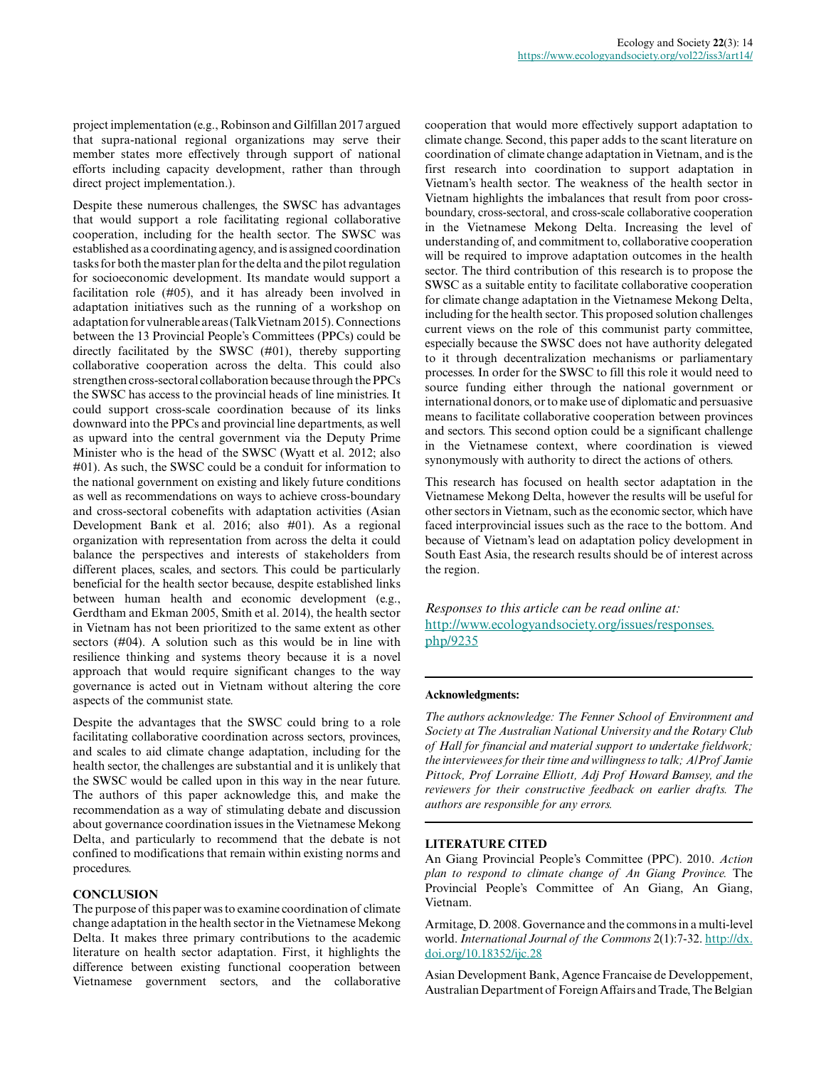project implementation (e.g., Robinson and Gilfillan 2017 argued that supra-national regional organizations may serve their member states more effectively through support of national efforts including capacity development, rather than through direct project implementation.).

Despite these numerous challenges, the SWSC has advantages that would support a role facilitating regional collaborative cooperation, including for the health sector. The SWSC was established as a coordinating agency, and is assigned coordination tasks for both the master plan for the delta and the pilot regulation for socioeconomic development. Its mandate would support a facilitation role (#05), and it has already been involved in adaptation initiatives such as the running of a workshop on adaptation for vulnerable areas (TalkVietnam 2015). Connections between the 13 Provincial People's Committees (PPCs) could be directly facilitated by the SWSC (#01), thereby supporting collaborative cooperation across the delta. This could also strengthen cross-sectoral collaboration because through the PPCs the SWSC has access to the provincial heads of line ministries. It could support cross-scale coordination because of its links downward into the PPCs and provincial line departments, as well as upward into the central government via the Deputy Prime Minister who is the head of the SWSC (Wyatt et al. 2012; also #01). As such, the SWSC could be a conduit for information to the national government on existing and likely future conditions as well as recommendations on ways to achieve cross-boundary and cross-sectoral cobenefits with adaptation activities (Asian Development Bank et al. 2016; also #01). As a regional organization with representation from across the delta it could balance the perspectives and interests of stakeholders from different places, scales, and sectors. This could be particularly beneficial for the health sector because, despite established links between human health and economic development (e.g., Gerdtham and Ekman 2005, Smith et al. 2014), the health sector in Vietnam has not been prioritized to the same extent as other sectors (#04). A solution such as this would be in line with resilience thinking and systems theory because it is a novel approach that would require significant changes to the way governance is acted out in Vietnam without altering the core aspects of the communist state.

Despite the advantages that the SWSC could bring to a role facilitating collaborative coordination across sectors, provinces, and scales to aid climate change adaptation, including for the health sector, the challenges are substantial and it is unlikely that the SWSC would be called upon in this way in the near future. The authors of this paper acknowledge this, and make the recommendation as a way of stimulating debate and discussion about governance coordination issues in the Vietnamese Mekong Delta, and particularly to recommend that the debate is not confined to modifications that remain within existing norms and procedures.

## **CONCLUSION**

The purpose of this paper was to examine coordination of climate change adaptation in the health sector in the Vietnamese Mekong Delta. It makes three primary contributions to the academic literature on health sector adaptation. First, it highlights the difference between existing functional cooperation between Vietnamese government sectors, and the collaborative

cooperation that would more effectively support adaptation to climate change. Second, this paper adds to the scant literature on coordination of climate change adaptation in Vietnam, and is the first research into coordination to support adaptation in Vietnam's health sector. The weakness of the health sector in Vietnam highlights the imbalances that result from poor crossboundary, cross-sectoral, and cross-scale collaborative cooperation in the Vietnamese Mekong Delta. Increasing the level of understanding of, and commitment to, collaborative cooperation will be required to improve adaptation outcomes in the health sector. The third contribution of this research is to propose the SWSC as a suitable entity to facilitate collaborative cooperation for climate change adaptation in the Vietnamese Mekong Delta, including for the health sector. This proposed solution challenges current views on the role of this communist party committee, especially because the SWSC does not have authority delegated to it through decentralization mechanisms or parliamentary processes. In order for the SWSC to fill this role it would need to source funding either through the national government or international donors, or to make use of diplomatic and persuasive means to facilitate collaborative cooperation between provinces and sectors. This second option could be a significant challenge in the Vietnamese context, where coordination is viewed synonymously with authority to direct the actions of others.

This research has focused on health sector adaptation in the Vietnamese Mekong Delta, however the results will be useful for other sectors in Vietnam, such as the economic sector, which have faced interprovincial issues such as the race to the bottom. And because of Vietnam's lead on adaptation policy development in South East Asia, the research results should be of interest across the region.

*Responses to this article can be read online at:* [http://www.ecologyandsociety.org/issues/responses.](http://www.ecologyandsociety.org/issues/responses.php/9235) [php/9235](http://www.ecologyandsociety.org/issues/responses.php/9235)

#### **Acknowledgments:**

*The authors acknowledge: The Fenner School of Environment and Society at The Australian National University and the Rotary Club of Hall for financial and material support to undertake fieldwork; the interviewees for their time and willingness to talk; A/Prof Jamie Pittock, Prof Lorraine Elliott, Adj Prof Howard Bamsey, and the reviewers for their constructive feedback on earlier drafts. The authors are responsible for any errors.*

#### **LITERATURE CITED**

An Giang Provincial People's Committee (PPC). 2010. *Action plan to respond to climate change of An Giang Province.* The Provincial People's Committee of An Giang, An Giang, Vietnam.

Armitage, D. 2008. Governance and the commons in a multi-level world. *International Journal of the Commons* 2(1):7-32. [http://dx.](http://dx.doi.org/10.18352%2Fijc.28) [doi.org/10.18352/ijc.28](http://dx.doi.org/10.18352%2Fijc.28) 

Asian Development Bank, Agence Francaise de Developpement, Australian Department of Foreign Affairs and Trade, The Belgian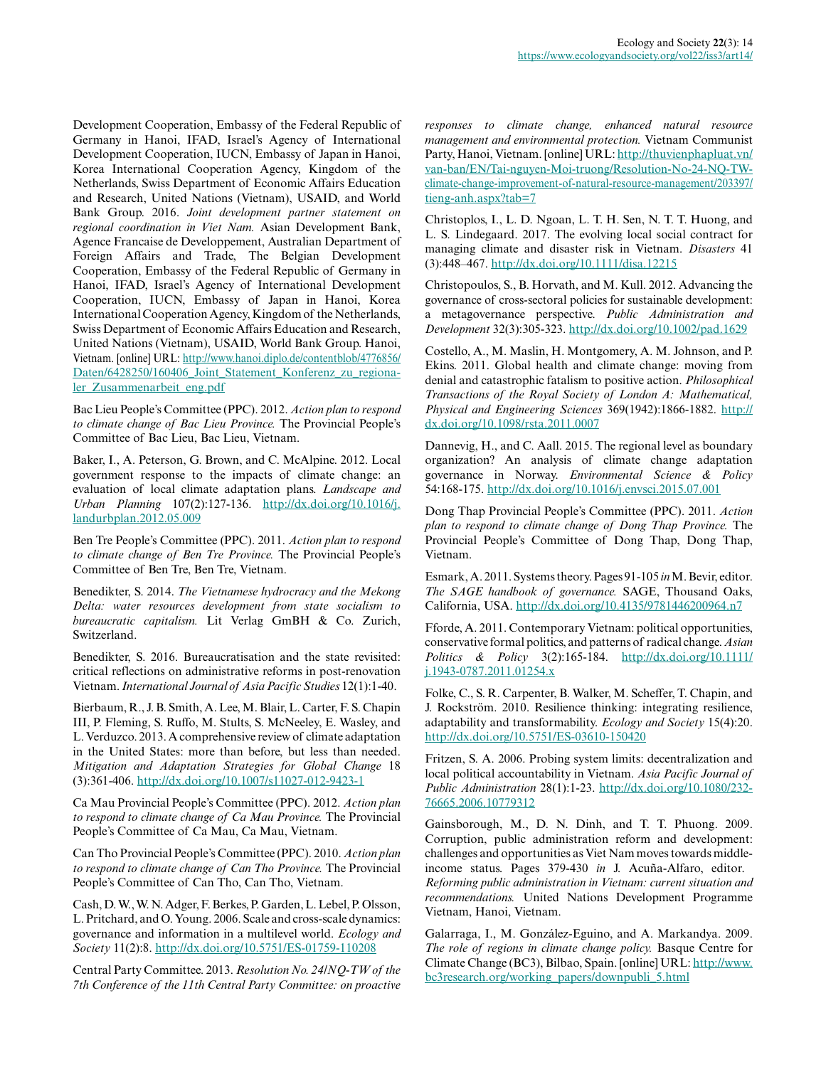Development Cooperation, Embassy of the Federal Republic of Germany in Hanoi, IFAD, Israel's Agency of International Development Cooperation, IUCN, Embassy of Japan in Hanoi, Korea International Cooperation Agency, Kingdom of the Netherlands, Swiss Department of Economic Affairs Education and Research, United Nations (Vietnam), USAID, and World Bank Group. 2016. *Joint development partner statement on regional coordination in Viet Nam.* Asian Development Bank, Agence Francaise de Developpement, Australian Department of Foreign Affairs and Trade, The Belgian Development Cooperation, Embassy of the Federal Republic of Germany in Hanoi, IFAD, Israel's Agency of International Development Cooperation, IUCN, Embassy of Japan in Hanoi, Korea International Cooperation Agency, Kingdom of the Netherlands, Swiss Department of Economic Affairs Education and Research, United Nations (Vietnam), USAID, World Bank Group. Hanoi, Vietnam. [online] URL: [http://www.hanoi.diplo.de/contentblob/4776856/](http://www.hanoi.diplo.de/contentblob/4776856/Daten/6428250/160406_Joint_Statement_Konferenz_zu_regionaler_Zusammenarbeit_eng.pdf) [Daten/6428250/160406\\_Joint\\_Statement\\_Konferenz\\_zu\\_regiona](http://www.hanoi.diplo.de/contentblob/4776856/Daten/6428250/160406_Joint_Statement_Konferenz_zu_regionaler_Zusammenarbeit_eng.pdf)[ler\\_Zusammenarbeit\\_eng.pdf](http://www.hanoi.diplo.de/contentblob/4776856/Daten/6428250/160406_Joint_Statement_Konferenz_zu_regionaler_Zusammenarbeit_eng.pdf)

Bac Lieu People's Committee (PPC). 2012. *Action plan to respond to climate change of Bac Lieu Province.* The Provincial People's Committee of Bac Lieu, Bac Lieu, Vietnam.

Baker, I., A. Peterson, G. Brown, and C. McAlpine. 2012. Local government response to the impacts of climate change: an evaluation of local climate adaptation plans. *Landscape and Urban Planning* 107(2):127-136. [http://dx.doi.org/10.1016/j.](http://dx.doi.org/10.1016%2Fj.landurbplan.2012.05.009) [landurbplan.2012.05.009](http://dx.doi.org/10.1016%2Fj.landurbplan.2012.05.009) 

Ben Tre People's Committee (PPC). 2011. *Action plan to respond to climate change of Ben Tre Province.* The Provincial People's Committee of Ben Tre, Ben Tre, Vietnam.

Benedikter, S. 2014. *The Vietnamese hydrocracy and the Mekong Delta: water resources development from state socialism to bureaucratic capitalism.* Lit Verlag GmBH & Co. Zurich, Switzerland.

Benedikter, S. 2016. Bureaucratisation and the state revisited: critical reflections on administrative reforms in post-renovation Vietnam. *International Journal of Asia Pacific Studies* 12(1):1-40.

Bierbaum, R., J. B. Smith, A. Lee, M. Blair, L. Carter, F. S. Chapin III, P. Fleming, S. Ruffo, M. Stults, S. McNeeley, E. Wasley, and L. Verduzco. 2013. A comprehensive review of climate adaptation in the United States: more than before, but less than needed. *Mitigation and Adaptation Strategies for Global Change* 18 (3):361-406. [http://dx.doi.org/10.1007/s11027-012-9423-1](http://dx.doi.org/10.1007%2Fs11027-012-9423-1) 

Ca Mau Provincial People's Committee (PPC). 2012. *Action plan to respond to climate change of Ca Mau Province.* The Provincial People's Committee of Ca Mau, Ca Mau, Vietnam.

Can Tho Provincial People's Committee (PPC). 2010. *Action plan to respond to climate change of Can Tho Province.* The Provincial People's Committee of Can Tho, Can Tho, Vietnam.

Cash, D. W., W. N. Adger, F. Berkes, P. Garden, L. Lebel, P. Olsson, L. Pritchard, and O. Young. 2006. Scale and cross-scale dynamics: governance and information in a multilevel world. *Ecology and Society* 11(2):8. [http://dx.doi.org/10.5751/ES-01759-110208](http://dx.doi.org/10.5751%2FES-01759-110208) 

Central Party Committee. 2013. *Resolution No. 24/NQ-TW of the 7th Conference of the 11th Central Party Committee: on proactive*

*responses to climate change, enhanced natural resource management and environmental protection.* Vietnam Communist Party, Hanoi, Vietnam. [online] URL: [http://thuvienphapluat.vn/](http://thuvienphapluat.vn/van-ban/EN/Tai-nguyen-Moi-truong/Resolution-No-24-NQ-TW-climate-change-improvement-of-natural-resource-management/203397/tieng-anh.aspx?tab=7) [van-ban/EN/Tai-nguyen-Moi-truong/Resolution-No-24-NQ-TW](http://thuvienphapluat.vn/van-ban/EN/Tai-nguyen-Moi-truong/Resolution-No-24-NQ-TW-climate-change-improvement-of-natural-resource-management/203397/tieng-anh.aspx?tab=7)[climate-change-improvement-of-natural-resource-management/203397/](http://thuvienphapluat.vn/van-ban/EN/Tai-nguyen-Moi-truong/Resolution-No-24-NQ-TW-climate-change-improvement-of-natural-resource-management/203397/tieng-anh.aspx?tab=7) [tieng-anh.aspx?tab=7](http://thuvienphapluat.vn/van-ban/EN/Tai-nguyen-Moi-truong/Resolution-No-24-NQ-TW-climate-change-improvement-of-natural-resource-management/203397/tieng-anh.aspx?tab=7)

Christoplos, I., L. D. Ngoan, L. T. H. Sen, N. T. T. Huong, and L. S. Lindegaard. 2017. The evolving local social contract for managing climate and disaster risk in Vietnam. *Disasters* 41 (3):448–467. [http://dx.doi.org/10.1111/disa.12215](http://dx.doi.org/10.1111%2Fdisa.12215) 

Christopoulos, S., B. Horvath, and M. Kull. 2012. Advancing the governance of cross-sectoral policies for sustainable development: a metagovernance perspective. *Public Administration and Development* 32(3):305-323. [http://dx.doi.org/10.1002/pad.1629](http://dx.doi.org/10.1002%2Fpad.1629) 

Costello, A., M. Maslin, H. Montgomery, A. M. Johnson, and P. Ekins. 2011. Global health and climate change: moving from denial and catastrophic fatalism to positive action. *Philosophical Transactions of the Royal Society of London A: Mathematical, Physical and Engineering Sciences* 369(1942):1866-1882. [http://](http://dx.doi.org/10.1098%2Frsta.2011.0007) [dx.doi.org/10.1098/rsta.2011.0007](http://dx.doi.org/10.1098%2Frsta.2011.0007)

Dannevig, H., and C. Aall. 2015. The regional level as boundary organization? An analysis of climate change adaptation governance in Norway. *Environmental Science & Policy* 54:168-175. [http://dx.doi.org/10.1016/j.envsci.2015.07.001](http://dx.doi.org/10.1016%2Fj.envsci.2015.07.001)

Dong Thap Provincial People's Committee (PPC). 2011. *Action plan to respond to climate change of Dong Thap Province.* The Provincial People's Committee of Dong Thap, Dong Thap, Vietnam.

Esmark, A. 2011. Systems theory. Pages 91-105 *in* M. Bevir, editor. *The SAGE handbook of governance.* SAGE, Thousand Oaks, California, USA. [http://dx.doi.org/10.4135/9781446200964.n7](http://dx.doi.org/10.4135%2F9781446200964.n7)

Fforde, A. 2011. Contemporary Vietnam: political opportunities, conservative formal politics, and patterns of radical change. *Asian Politics & Policy* 3(2):165-184. [http://dx.doi.org/10.1111/](http://dx.doi.org/10.1111%2Fj.1943-0787.2011.01254.x) [j.1943-0787.2011.01254.x](http://dx.doi.org/10.1111%2Fj.1943-0787.2011.01254.x)

Folke, C., S. R. Carpenter, B. Walker, M. Scheffer, T. Chapin, and J. Rockström. 2010. Resilience thinking: integrating resilience, adaptability and transformability. *Ecology and Society* 15(4):20. [http://dx.doi.org/10.5751/ES-03610-150420](http://dx.doi.org/10.5751%2FES-03610-150420) 

Fritzen, S. A. 2006. Probing system limits: decentralization and local political accountability in Vietnam. *Asia Pacific Journal of Public Administration* 28(1):1-23. [http://dx.doi.org/10.1080/232](http://dx.doi.org/10.1080%2F23276665.2006.10779312) [76665.2006.10779312](http://dx.doi.org/10.1080%2F23276665.2006.10779312)

Gainsborough, M., D. N. Dinh, and T. T. Phuong. 2009. Corruption, public administration reform and development: challenges and opportunities as Viet Nam moves towards middleincome status. Pages 379-430 *in* J. Acuña-Alfaro, editor.

*Reforming public administration in Vietnam: current situation and recommendations.* United Nations Development Programme Vietnam, Hanoi, Vietnam.

Galarraga, I., M. González-Eguino, and A. Markandya. 2009. *The role of regions in climate change policy.* Basque Centre for Climate Change (BC3), Bilbao, Spain. [online] URL: [http://www.](http://www.bc3research.org/working_papers/downpubli_5.html) [bc3research.org/working\\_papers/downpubli\\_5.html](http://www.bc3research.org/working_papers/downpubli_5.html)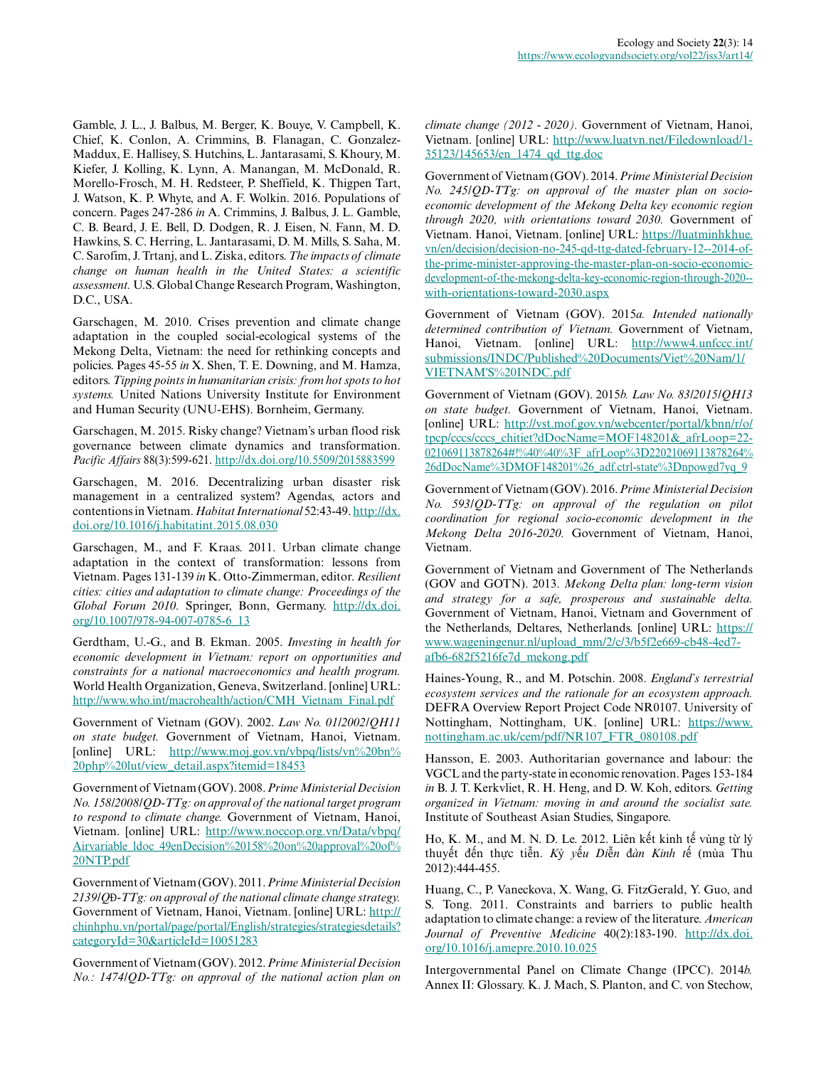Gamble, J. L., J. Balbus, M. Berger, K. Bouye, V. Campbell, K. Chief, K. Conlon, A. Crimmins, B. Flanagan, C. Gonzalez-Maddux, E. Hallisey, S. Hutchins, L. Jantarasami, S. Khoury, M. Kiefer, J. Kolling, K. Lynn, A. Manangan, M. McDonald, R. Morello-Frosch, M. H. Redsteer, P. Sheffield, K. Thigpen Tart, J. Watson, K. P. Whyte, and A. F. Wolkin. 2016. Populations of concern. Pages 247-286 *in* A. Crimmins, J. Balbus, J. L. Gamble, C. B. Beard, J. E. Bell, D. Dodgen, R. J. Eisen, N. Fann, M. D. Hawkins, S. C. Herring, L. Jantarasami, D. M. Mills, S. Saha, M. C. Sarofim, J. Trtanj, and L. Ziska, editors. *The impacts of climate change on human health in the United States: a scientific assessment.* U.S. Global Change Research Program, Washington, D.C., USA.

Garschagen, M. 2010. Crises prevention and climate change adaptation in the coupled social-ecological systems of the Mekong Delta, Vietnam: the need for rethinking concepts and policies. Pages 45-55 *in* X. Shen, T. E. Downing, and M. Hamza, editors. *Tipping points in humanitarian crisis: from hot spots to hot systems.* United Nations University Institute for Environment and Human Security (UNU-EHS). Bornheim, Germany.

Garschagen, M. 2015. Risky change? Vietnam's urban flood risk governance between climate dynamics and transformation. *Pacific Affairs* 88(3):599-621. [http://dx.doi.org/10.5509/2015883599](http://dx.doi.org/10.5509%2F2015883599) 

Garschagen, M. 2016. Decentralizing urban disaster risk management in a centralized system? Agendas, actors and contentions in Vietnam. *Habitat International* 52:43-49. [http://dx.](http://dx.doi.org/10.1016%2Fj.habitatint.2015.08.030) [doi.org/10.1016/j.habitatint.2015.08.030](http://dx.doi.org/10.1016%2Fj.habitatint.2015.08.030) 

Garschagen, M., and F. Kraas. 2011. Urban climate change adaptation in the context of transformation: lessons from Vietnam. Pages 131-139 *in* K. Otto-Zimmerman, editor. *Resilient cities: cities and adaptation to climate change: Proceedings of the Global Forum 2010.* Springer, Bonn, Germany. [http://dx.doi.](http://dx.doi.org/10.1007%2F978-94-007-0785-6_13) [org/10.1007/978-94-007-0785-6\\_13](http://dx.doi.org/10.1007%2F978-94-007-0785-6_13)

Gerdtham, U.-G., and B. Ekman. 2005. *Investing in health for economic development in Vietnam: report on opportunities and constraints for a national macroeconomics and health program.* World Health Organization, Geneva, Switzerland. [online] URL: [http://www.who.int/macrohealth/action/CMH\\_Vietnam\\_Final.pdf](http://www.who.int/macrohealth/action/CMH_Vietnam_Final.pdf)

Government of Vietnam (GOV). 2002. *Law No. 01/2002/QH11 on state budget.* Government of Vietnam, Hanoi, Vietnam. [online] URL: [http://www.moj.gov.vn/vbpq/lists/vn%20bn%](http://www.moj.gov.vn/vbpq/lists/vn%20bn%20php%20lut/view_detail.aspx?itemid=18453) [20php%20lut/view\\_detail.aspx?itemid=18453](http://www.moj.gov.vn/vbpq/lists/vn%20bn%20php%20lut/view_detail.aspx?itemid=18453)

Government of Vietnam (GOV). 2008. *Prime Ministerial Decision No. 158/2008/QD-TTg: on approval of the national target program to respond to climate change.* Government of Vietnam, Hanoi, Vietnam. [online] URL: [http://www.noccop.org.vn/Data/vbpq/](http://www.noccop.org.vn/Data/vbpq/Airvariable_ldoc_49enDecision%20158%20on%20approval%20of%20NTP.pdf) [Airvariable\\_ldoc\\_49enDecision%20158%20on%20approval%20of%](http://www.noccop.org.vn/Data/vbpq/Airvariable_ldoc_49enDecision%20158%20on%20approval%20of%20NTP.pdf) [20NTP.pdf](http://www.noccop.org.vn/Data/vbpq/Airvariable_ldoc_49enDecision%20158%20on%20approval%20of%20NTP.pdf)

Government of Vietnam (GOV). 2011. *Prime Ministerial Decision 2139/Q*Đ*-TTg: on approval of the national climate change strategy.* Government of Vietnam, Hanoi, Vietnam. [online] URL: [http://](http://chinhphu.vn/portal/page/portal/English/strategies/strategiesdetails?categoryId=30&articleId=10051283) [chinhphu.vn/portal/page/portal/English/strategies/strategiesdetails?](http://chinhphu.vn/portal/page/portal/English/strategies/strategiesdetails?categoryId=30&articleId=10051283) [categoryId=30&articleId=10051283](http://chinhphu.vn/portal/page/portal/English/strategies/strategiesdetails?categoryId=30&articleId=10051283)

Government of Vietnam (GOV). 2012. *Prime Ministerial Decision No.: 1474/QD-TTg: on approval of the national action plan on* *climate change (2012 - 2020).* Government of Vietnam, Hanoi, Vietnam. [online] URL: [http://www.luatvn.net/Filedownload/1](http://www.luatvn.net/Filedownload/135123/145653/en_1474_qd_ttg.doc) [35123/145653/en\\_1474\\_qd\\_ttg.doc](http://www.luatvn.net/Filedownload/135123/145653/en_1474_qd_ttg.doc) 

Government of Vietnam (GOV). 2014. *Prime Ministerial Decision No. 245/QD-TTg: on approval of the master plan on socioeconomic development of the Mekong Delta key economic region through 2020, with orientations toward 2030.* Government of Vietnam. Hanoi, Vietnam. [online] URL: [https://luatminhkhue.](https://luatminhkhue.vn/en/decision/decision-no-245-qd-ttg-dated-february-12--2014-of-the-prime-minister-approving-the-master-plan-on-socio-economic-development-of-the-mekong-delta-key-economic-region-through-2020--with-orientations-toward-2030.aspx) [vn/en/decision/decision-no-245-qd-ttg-dated-february-12--2014-of](https://luatminhkhue.vn/en/decision/decision-no-245-qd-ttg-dated-february-12--2014-of-the-prime-minister-approving-the-master-plan-on-socio-economic-development-of-the-mekong-delta-key-economic-region-through-2020--with-orientations-toward-2030.aspx)[the-prime-minister-approving-the-master-plan-on-socio-economic](https://luatminhkhue.vn/en/decision/decision-no-245-qd-ttg-dated-february-12--2014-of-the-prime-minister-approving-the-master-plan-on-socio-economic-development-of-the-mekong-delta-key-economic-region-through-2020--with-orientations-toward-2030.aspx)[development-of-the-mekong-delta-key-economic-region-through-2020-](https://luatminhkhue.vn/en/decision/decision-no-245-qd-ttg-dated-february-12--2014-of-the-prime-minister-approving-the-master-plan-on-socio-economic-development-of-the-mekong-delta-key-economic-region-through-2020--with-orientations-toward-2030.aspx) [with-orientations-toward-2030.aspx](https://luatminhkhue.vn/en/decision/decision-no-245-qd-ttg-dated-february-12--2014-of-the-prime-minister-approving-the-master-plan-on-socio-economic-development-of-the-mekong-delta-key-economic-region-through-2020--with-orientations-toward-2030.aspx)

Government of Vietnam (GOV). 2015*a. Intended nationally determined contribution of Vietnam.* Government of Vietnam, Hanoi, Vietnam. [online] URL: [http://www4.unfccc.int/](http://www4.unfccc.int/submissions/INDC/Published%20Documents/Viet%20Nam/1/VIETNAM) [submissions/INDC/Published%20Documents/Viet%20Nam/1/](http://www4.unfccc.int/submissions/INDC/Published%20Documents/Viet%20Nam/1/VIETNAM) [VIETNAM'S%20INDC.pdf](http://www4.unfccc.int/submissions/INDC/Published%20Documents/Viet%20Nam/1/VIETNAM)

Government of Vietnam (GOV). 2015*b. Law No. 83/2015/QH13 on state budget.* Government of Vietnam, Hanoi, Vietnam. [online] URL: [http://vst.mof.gov.vn/webcenter/portal/kbnn/r/o/](http://vst.mof.gov.vn/webcenter/portal/kbnn/r/o/tpcp/cccs/cccs_chitiet?dDocName=MOF148201&_afrLoop=22021069113878264#!%40%40%3F_afrLoop%3D22021069113878264%26dDocName%3DMOF148201%26_adf.ctrl-state%3Dnpowgd7yq_9) [tpcp/cccs/cccs\\_chitiet?dDocName=MOF148201&\\_afrLoop=22](http://vst.mof.gov.vn/webcenter/portal/kbnn/r/o/tpcp/cccs/cccs_chitiet?dDocName=MOF148201&_afrLoop=22021069113878264#!%40%40%3F_afrLoop%3D22021069113878264%26dDocName%3DMOF148201%26_adf.ctrl-state%3Dnpowgd7yq_9)-[021069113878264#!%40%40%3F\\_afrLoop%3D22021069113878264%](http://vst.mof.gov.vn/webcenter/portal/kbnn/r/o/tpcp/cccs/cccs_chitiet?dDocName=MOF148201&_afrLoop=22021069113878264#!%40%40%3F_afrLoop%3D22021069113878264%26dDocName%3DMOF148201%26_adf.ctrl-state%3Dnpowgd7yq_9) [26dDocName%3DMOF148201%26\\_adf.ctrl-state%3Dnpowgd7yq\\_9](http://vst.mof.gov.vn/webcenter/portal/kbnn/r/o/tpcp/cccs/cccs_chitiet?dDocName=MOF148201&_afrLoop=22021069113878264#!%40%40%3F_afrLoop%3D22021069113878264%26dDocName%3DMOF148201%26_adf.ctrl-state%3Dnpowgd7yq_9) 

Government of Vietnam (GOV). 2016. *Prime Ministerial Decision No. 593/QD-TTg: on approval of the regulation on pilot coordination for regional socio-economic development in the Mekong Delta 2016-2020.* Government of Vietnam, Hanoi, Vietnam.

Government of Vietnam and Government of The Netherlands (GOV and GOTN). 2013. *Mekong Delta plan: long-term vision and strategy for a safe, prosperous and sustainable delta.* Government of Vietnam, Hanoi, Vietnam and Government of the Netherlands, Deltares, Netherlands. [online] URL: [https://](https://www.wageningenur.nl/upload_mm/2/c/3/b5f2e669-cb48-4ed7-afb6-682f5216fe7d_mekong.pdf) [www.wageningenur.nl/upload\\_mm/2/c/3/b5f2e669-cb48-4ed7](https://www.wageningenur.nl/upload_mm/2/c/3/b5f2e669-cb48-4ed7-afb6-682f5216fe7d_mekong.pdf) [afb6-682f5216fe7d\\_mekong.pdf](https://www.wageningenur.nl/upload_mm/2/c/3/b5f2e669-cb48-4ed7-afb6-682f5216fe7d_mekong.pdf)

Haines-Young, R., and M. Potschin. 2008. *England's terrestrial ecosystem services and the rationale for an ecosystem approach.* DEFRA Overview Report Project Code NR0107. University of Nottingham, Nottingham, UK. [online] URL: [https://www.](https://www.nottingham.ac.uk/cem/pdf/NR107_FTR_080108.pdf) [nottingham.ac.uk/cem/pdf/NR107\\_FTR\\_080108.pdf](https://www.nottingham.ac.uk/cem/pdf/NR107_FTR_080108.pdf)

Hansson, E. 2003. Authoritarian governance and labour: the VGCL and the party-state in economic renovation. Pages 153-184 *in* B. J. T. Kerkvliet, R. H. Heng, and D. W. Koh, editors. *Getting organized in Vietnam: moving in and around the socialist sate.* Institute of Southeast Asian Studies, Singapore.

Ho, K. M., and M. N. D. Le. 2012. Liên kết kinh tế vùng từ lý thuyết đến thực tiễn. *K*ỷ *y*ế*u Di*ễ*n* đ*àn Kinh t*ế (mùa Thu 2012):444-455.

Huang, C., P. Vaneckova, X. Wang, G. FitzGerald, Y. Guo, and S. Tong. 2011. Constraints and barriers to public health adaptation to climate change: a review of the literature. *American Journal of Preventive Medicine* 40(2):183-190. [http://dx.doi.](http://dx.doi.org/10.1016%2Fj.amepre.2010.10.025) [org/10.1016/j.amepre.2010.10.025](http://dx.doi.org/10.1016%2Fj.amepre.2010.10.025)

Intergovernmental Panel on Climate Change (IPCC). 2014*b.* Annex II: Glossary. K. J. Mach, S. Planton, and C. von Stechow,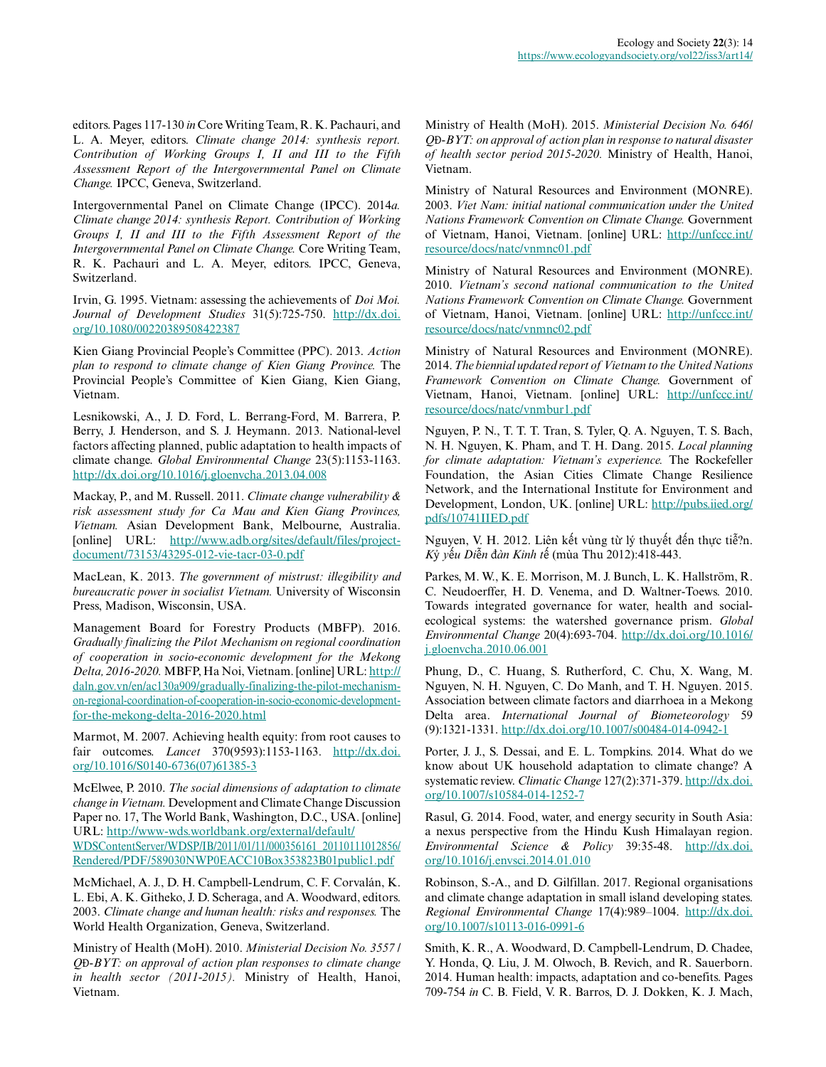editors. Pages 117-130 *in* Core Writing Team, R. K. Pachauri, and L. A. Meyer, editors. *Climate change 2014: synthesis report. Contribution of Working Groups I, II and III to the Fifth Assessment Report of the Intergovernmental Panel on Climate Change.* IPCC, Geneva, Switzerland.

Intergovernmental Panel on Climate Change (IPCC). 2014*a. Climate change 2014: synthesis Report. Contribution of Working Groups I, II and III to the Fifth Assessment Report of the Intergovernmental Panel on Climate Change.* Core Writing Team, R. K. Pachauri and L. A. Meyer, editors. IPCC, Geneva, Switzerland.

Irvin, G. 1995. Vietnam: assessing the achievements of *Doi Moi. Journal of Development Studies* 31(5):725-750. [http://dx.doi.](http://dx.doi.org/10.1080%2F00220389508422387) [org/10.1080/00220389508422387](http://dx.doi.org/10.1080%2F00220389508422387) 

Kien Giang Provincial People's Committee (PPC). 2013. *Action plan to respond to climate change of Kien Giang Province.* The Provincial People's Committee of Kien Giang, Kien Giang, Vietnam.

Lesnikowski, A., J. D. Ford, L. Berrang-Ford, M. Barrera, P. Berry, J. Henderson, and S. J. Heymann. 2013. National-level factors affecting planned, public adaptation to health impacts of climate change. *Global Environmental Change* 23(5):1153-1163. [http://dx.doi.org/10.1016/j.gloenvcha.2013.04.008](http://dx.doi.org/10.1016%2Fj.gloenvcha.2013.04.008)

Mackay, P., and M. Russell. 2011. *Climate change vulnerability & risk assessment study for Ca Mau and Kien Giang Provinces, Vietnam.* Asian Development Bank, Melbourne, Australia. [online] URL: [http://www.adb.org/sites/default/files/project](http://www.adb.org/sites/default/files/project-document/73153/43295-012-vie-tacr-03-0.pdf)[document/73153/43295-012-vie-tacr-03-0.pdf](http://www.adb.org/sites/default/files/project-document/73153/43295-012-vie-tacr-03-0.pdf)

MacLean, K. 2013. *The government of mistrust: illegibility and bureaucratic power in socialist Vietnam.* University of Wisconsin Press, Madison, Wisconsin, USA.

Management Board for Forestry Products (MBFP). 2016. *Gradually finalizing the Pilot Mechanism on regional coordination of cooperation in socio-economic development for the Mekong Delta, 2016-2020.* MBFP, Ha Noi, Vietnam. [online] URL: [http://](http://daln.gov.vn/en/ac130a909/gradually-finalizing-the-pilot-mechanism-on-regional-coordination-of-cooperation-in-socio-economic-development-for-the-mekong-delta-2016-2020.html) [daln.gov.vn/en/ac130a909/gradually-finalizing-the-pilot-mechanism](http://daln.gov.vn/en/ac130a909/gradually-finalizing-the-pilot-mechanism-on-regional-coordination-of-cooperation-in-socio-economic-development-for-the-mekong-delta-2016-2020.html)[on-regional-coordination-of-cooperation-in-socio-economic-development](http://daln.gov.vn/en/ac130a909/gradually-finalizing-the-pilot-mechanism-on-regional-coordination-of-cooperation-in-socio-economic-development-for-the-mekong-delta-2016-2020.html)[for-the-mekong-delta-2016-2020.html](http://daln.gov.vn/en/ac130a909/gradually-finalizing-the-pilot-mechanism-on-regional-coordination-of-cooperation-in-socio-economic-development-for-the-mekong-delta-2016-2020.html)

Marmot, M. 2007. Achieving health equity: from root causes to fair outcomes. *Lancet* 370(9593):1153-1163. [http://dx.doi.](http://dx.doi.org/10.1016%2FS0140-6736%2807%2961385-3) [org/10.1016/S0140-6736\(07\)61385-3](http://dx.doi.org/10.1016%2FS0140-6736%2807%2961385-3)

McElwee, P. 2010. *The social dimensions of adaptation to climate change in Vietnam.* Development and Climate Change Discussion Paper no. 17, The World Bank, Washington, D.C., USA. [online] URL: [http://www-wds.worldbank.org/external/default/](http://www-wds.worldbank.org/external/default/WDSContentServer/WDSP/IB/2011/01/11/000356161_20110111012856/Rendered/PDF/589030NWP0EACC10Box353823B01public1.pdf) [WDSContentServer/WDSP/IB/2011/01/11/000356161\\_20110111012856/](http://www-wds.worldbank.org/external/default/WDSContentServer/WDSP/IB/2011/01/11/000356161_20110111012856/Rendered/PDF/589030NWP0EACC10Box353823B01public1.pdf) [Rendered/PDF/589030NWP0EACC10Box353823B01public1.pdf](http://www-wds.worldbank.org/external/default/WDSContentServer/WDSP/IB/2011/01/11/000356161_20110111012856/Rendered/PDF/589030NWP0EACC10Box353823B01public1.pdf)

McMichael, A. J., D. H. Campbell-Lendrum, C. F. Corvalán, K. L. Ebi, A. K. Githeko, J. D. Scheraga, and A. Woodward, editors. 2003. *Climate change and human health: risks and responses.* The World Health Organization, Geneva, Switzerland.

Ministry of Health (MoH). 2010. *Ministerial Decision No. 3557 / Q*Đ*-BYT: on approval of action plan responses to climate change in health sector (2011-2015).* Ministry of Health, Hanoi, Vietnam.

Ministry of Health (MoH). 2015. *Ministerial Decision No. 646/ Q*Đ*-BYT: on approval of action plan in response to natural disaster of health sector period 2015-2020.* Ministry of Health, Hanoi, Vietnam.

Ministry of Natural Resources and Environment (MONRE). 2003. *Viet Nam: initial national communication under the United Nations Framework Convention on Climate Change.* Government of Vietnam, Hanoi, Vietnam. [online] URL: [http://unfccc.int/](http://unfccc.int/resource/docs/natc/vnmnc01.pdf) [resource/docs/natc/vnmnc01.pdf](http://unfccc.int/resource/docs/natc/vnmnc01.pdf)

Ministry of Natural Resources and Environment (MONRE). 2010. *Vietnam's second national communication to the United Nations Framework Convention on Climate Change.* Government of Vietnam, Hanoi, Vietnam. [online] URL: [http://unfccc.int/](http://unfccc.int/resource/docs/natc/vnmnc02.pdf) [resource/docs/natc/vnmnc02.pdf](http://unfccc.int/resource/docs/natc/vnmnc02.pdf)

Ministry of Natural Resources and Environment (MONRE). 2014. *The biennial updated report of Vietnam to the United Nations Framework Convention on Climate Change.* Government of Vietnam, Hanoi, Vietnam. [online] URL: [http://unfccc.int/](http://unfccc.int/resource/docs/natc/vnmbur1.pdf) [resource/docs/natc/vnmbur1.pdf](http://unfccc.int/resource/docs/natc/vnmbur1.pdf)

Nguyen, P. N., T. T. T. Tran, S. Tyler, Q. A. Nguyen, T. S. Bach, N. H. Nguyen, K. Pham, and T. H. Dang. 2015. *Local planning for climate adaptation: Vietnam's experience.* The Rockefeller Foundation, the Asian Cities Climate Change Resilience Network, and the International Institute for Environment and Development, London, UK. [online] URL: [http://pubs.iied.org/](http://pubs.iied.org/pdfs/10741IIED.pdf) [pdfs/10741IIED.pdf](http://pubs.iied.org/pdfs/10741IIED.pdf)

Nguyen, V. H. 2012. Liên kết vùng từ lý thuyết đến thực tiễ?n. *K*ỷ *y*ế*u Di*ễ*n* đ*àn Kinh t*ế (mùa Thu 2012):418-443.

Parkes, M. W., K. E. Morrison, M. J. Bunch, L. K. Hallström, R. C. Neudoerffer, H. D. Venema, and D. Waltner-Toews. 2010. Towards integrated governance for water, health and socialecological systems: the watershed governance prism. *Global Environmental Change* 20(4):693-704. [http://dx.doi.org/10.1016/](http://dx.doi.org/10.1016%2Fj.gloenvcha.2010.06.001) [j.gloenvcha.2010.06.001](http://dx.doi.org/10.1016%2Fj.gloenvcha.2010.06.001) 

Phung, D., C. Huang, S. Rutherford, C. Chu, X. Wang, M. Nguyen, N. H. Nguyen, C. Do Manh, and T. H. Nguyen. 2015. Association between climate factors and diarrhoea in a Mekong Delta area. *International Journal of Biometeorology* 59 (9):1321-1331. [http://dx.doi.org/10.1007/s00484-014-0942-1](http://dx.doi.org/10.1007%2Fs00484-014-0942-1) 

Porter, J. J., S. Dessai, and E. L. Tompkins. 2014. What do we know about UK household adaptation to climate change? A systematic review. *Climatic Change* 127(2):371-379. [http://dx.doi.](http://dx.doi.org/10.1007%2Fs10584-014-1252-7) [org/10.1007/s10584-014-1252-7](http://dx.doi.org/10.1007%2Fs10584-014-1252-7)

Rasul, G. 2014. Food, water, and energy security in South Asia: a nexus perspective from the Hindu Kush Himalayan region. *Environmental Science & Policy* 39:35-48. [http://dx.doi.](http://dx.doi.org/10.1016%2Fj.envsci.2014.01.010) [org/10.1016/j.envsci.2014.01.010](http://dx.doi.org/10.1016%2Fj.envsci.2014.01.010) 

Robinson, S.-A., and D. Gilfillan. 2017. Regional organisations and climate change adaptation in small island developing states. *Regional Environmental Change* 17(4):989–1004. [http://dx.doi.](http://dx.doi.org/10.1007%2Fs10113-016-0991-6) [org/10.1007/s10113-016-0991-6](http://dx.doi.org/10.1007%2Fs10113-016-0991-6)

Smith, K. R., A. Woodward, D. Campbell-Lendrum, D. Chadee, Y. Honda, Q. Liu, J. M. Olwoch, B. Revich, and R. Sauerborn. 2014. Human health: impacts, adaptation and co-benefits. Pages 709-754 *in* C. B. Field, V. R. Barros, D. J. Dokken, K. J. Mach,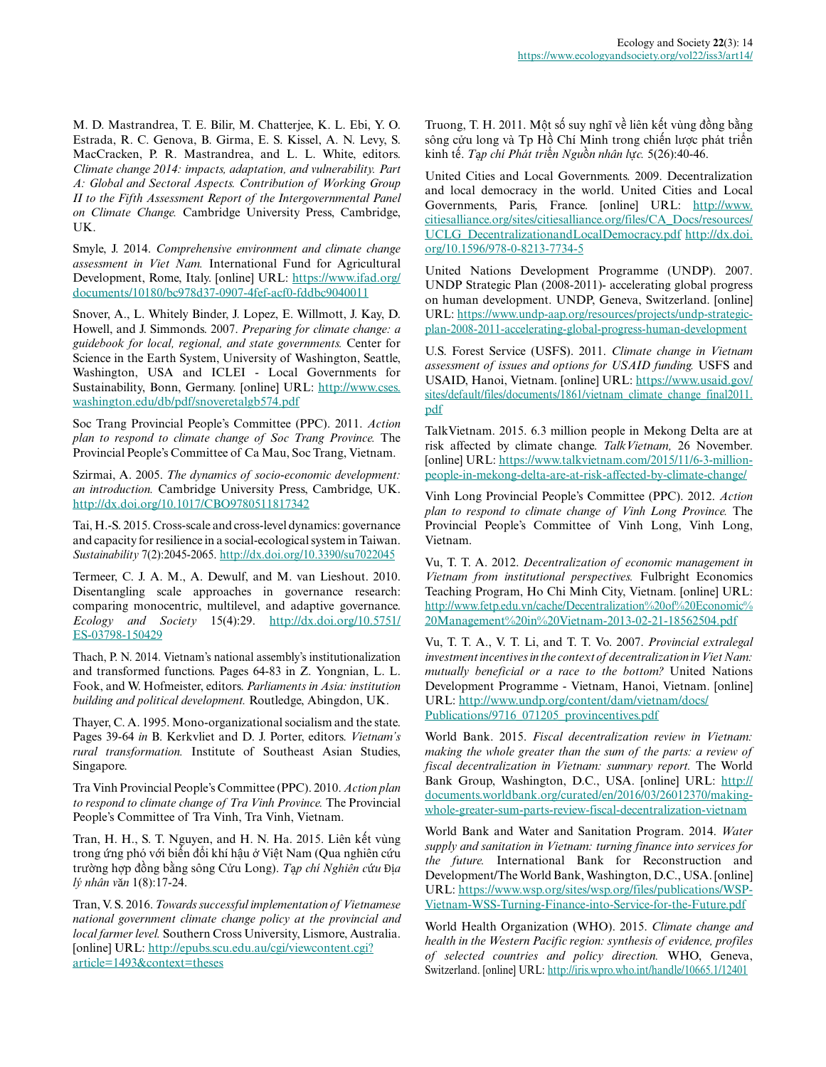M. D. Mastrandrea, T. E. Bilir, M. Chatterjee, K. L. Ebi, Y. O. Estrada, R. C. Genova, B. Girma, E. S. Kissel, A. N. Levy, S. MacCracken, P. R. Mastrandrea, and L. L. White, editors. *Climate change 2014: impacts, adaptation, and vulnerability. Part A: Global and Sectoral Aspects. Contribution of Working Group II to the Fifth Assessment Report of the Intergovernmental Panel on Climate Change.* Cambridge University Press, Cambridge, UK.

Smyle, J. 2014. *Comprehensive environment and climate change assessment in Viet Nam.* International Fund for Agricultural Development, Rome, Italy. [online] URL: [https://www.ifad.org/](https://www.ifad.org/documents/10180/bc978d37-0907-4fef-acf0-fddbc9040011) [documents/10180/bc978d37-0907-4fef-acf0-fddbc9040011](https://www.ifad.org/documents/10180/bc978d37-0907-4fef-acf0-fddbc9040011)

Snover, A., L. Whitely Binder, J. Lopez, E. Willmott, J. Kay, D. Howell, and J. Simmonds. 2007. *Preparing for climate change: a guidebook for local, regional, and state governments.* Center for Science in the Earth System, University of Washington, Seattle, Washington, USA and ICLEI - Local Governments for Sustainability, Bonn, Germany. [online] URL: [http://www.cses.](http://www.cses.washington.edu/db/pdf/snoveretalgb574.pdf) [washington.edu/db/pdf/snoveretalgb574.pdf](http://www.cses.washington.edu/db/pdf/snoveretalgb574.pdf)

Soc Trang Provincial People's Committee (PPC). 2011. *Action plan to respond to climate change of Soc Trang Province.* The Provincial People's Committee of Ca Mau, Soc Trang, Vietnam.

Szirmai, A. 2005. *The dynamics of socio-economic development: an introduction.* Cambridge University Press, Cambridge, UK. [http://dx.doi.org/10.1017/CBO9780511817342](http://dx.doi.org/10.1017%2FCBO9780511817342)

Tai, H.-S. 2015. Cross-scale and cross-level dynamics: governance and capacity for resilience in a social-ecological system in Taiwan. *Sustainability* 7(2):2045-2065. [http://dx.doi.org/10.3390/su7022045](http://dx.doi.org/10.3390%2Fsu7022045) 

Termeer, C. J. A. M., A. Dewulf, and M. van Lieshout. 2010. Disentangling scale approaches in governance research: comparing monocentric, multilevel, and adaptive governance. *Ecology and Society* 15(4):29. [http://dx.doi.org/10.5751/](http://dx.doi.org/10.5751%2FES-03798-150429) [ES-03798-150429](http://dx.doi.org/10.5751%2FES-03798-150429)

Thach, P. N. 2014. Vietnam's national assembly's institutionalization and transformed functions. Pages 64-83 in Z. Yongnian, L. L. Fook, and W. Hofmeister, editors. *Parliaments in Asia: institution building and political development.* Routledge, Abingdon, UK.

Thayer, C. A. 1995. Mono-organizational socialism and the state. Pages 39-64 *in* B. Kerkvliet and D. J. Porter, editors. *Vietnam's rural transformation.* Institute of Southeast Asian Studies, Singapore.

Tra Vinh Provincial People's Committee (PPC). 2010. *Action plan to respond to climate change of Tra Vinh Province.* The Provincial People's Committee of Tra Vinh, Tra Vinh, Vietnam.

Tran, H. H., S. T. Nguyen, and H. N. Ha. 2015. Liên kết vùng trong ứng phó với biến đổi khí hậu ở Việt Nam (Qua nghiên cứu trường hợp đồng bằng sông Cửu Long). *T*ạ*p chí Nghiên c*ứ*u* Đị*a lý nhân v*ă*n* 1(8):17-24.

Tran, V. S. 2016. *Towards successful implementation of Vietnamese national government climate change policy at the provincial and local farmer level.* Southern Cross University, Lismore, Australia. [online] URL: [http://epubs.scu.edu.au/cgi/viewcontent.cgi?](http://epubs.scu.edu.au/cgi/viewcontent.cgi?article=1493&context=theses) [article=1493&context=theses](http://epubs.scu.edu.au/cgi/viewcontent.cgi?article=1493&context=theses) 

Truong, T. H. 2011. Một số suy nghĩ về liên kết vùng đồng bằng sông cửu long và Tp Hồ Chí Minh trong chiến lược phát triển kinh tế. *T*ạ*p chí Phát tri*ể*n Ngu*ồ*n nhân l*ự*c.* 5(26):40-46.

United Cities and Local Governments. 2009. Decentralization and local democracy in the world. United Cities and Local Governments, Paris, France. [online] URL: [http://www.](http://www.citiesalliance.org/sites/citiesalliance.org/files/CA_Docs/resources/UCLG_DecentralizationandLocalDemocracy.pdf) [citiesalliance.org/sites/citiesalliance.org/files/CA\\_Docs/resources/](http://www.citiesalliance.org/sites/citiesalliance.org/files/CA_Docs/resources/UCLG_DecentralizationandLocalDemocracy.pdf) [UCLG\\_DecentralizationandLocalDemocracy.pdf](http://www.citiesalliance.org/sites/citiesalliance.org/files/CA_Docs/resources/UCLG_DecentralizationandLocalDemocracy.pdf) [http://dx.doi.](http://dx.doi.org/10.1596%2F978-0-8213-7734-5) [org/10.1596/978-0-8213-7734-5](http://dx.doi.org/10.1596%2F978-0-8213-7734-5) 

United Nations Development Programme (UNDP). 2007. UNDP Strategic Plan (2008-2011)- accelerating global progress on human development. UNDP, Geneva, Switzerland. [online] URL: [https://www.undp-aap.org/resources/projects/undp-strategic](https://www.undp-aap.org/resources/projects/undp-strategic-plan-2008-2011-accelerating-global-progress-human-development)[plan-2008-2011-accelerating-global-progress-human-development](https://www.undp-aap.org/resources/projects/undp-strategic-plan-2008-2011-accelerating-global-progress-human-development) 

U.S. Forest Service (USFS). 2011. *Climate change in Vietnam assessment of issues and options for USAID funding.* USFS and USAID, Hanoi, Vietnam. [online] URL: [https://www.usaid.gov/](https://www.usaid.gov/sites/default/files/documents/1861/vietnam_climate_change_final2011.pdf) [sites/default/files/documents/1861/vietnam\\_climate\\_change\\_final2011.](https://www.usaid.gov/sites/default/files/documents/1861/vietnam_climate_change_final2011.pdf) [pdf](https://www.usaid.gov/sites/default/files/documents/1861/vietnam_climate_change_final2011.pdf)

TalkVietnam. 2015. 6.3 million people in Mekong Delta are at risk affected by climate change. *TalkVietnam,* 26 November. [online] URL: [https://www.talkvietnam.com/2015/11/6-3-million](https://www.talkvietnam.com/2015/11/6-3-million-people-in-mekong-delta-are-at-risk-affected-by-climate-change/)[people-in-mekong-delta-are-at-risk-affected-by-climate-change/](https://www.talkvietnam.com/2015/11/6-3-million-people-in-mekong-delta-are-at-risk-affected-by-climate-change/) 

Vinh Long Provincial People's Committee (PPC). 2012. *Action plan to respond to climate change of Vinh Long Province.* The Provincial People's Committee of Vinh Long, Vinh Long, Vietnam.

Vu, T. T. A. 2012. *Decentralization of economic management in Vietnam from institutional perspectives.* Fulbright Economics Teaching Program, Ho Chi Minh City, Vietnam. [online] URL: [http://www.fetp.edu.vn/cache/Decentralization%20of%20Economic%](http://www.fetp.edu.vn/cache/Decentralization%20of%20Economic%20Management%20in%20Vietnam-2013-02-21-18562504.pdf) [20Management%20in%20Vietnam-2013-02-21-18562504.pdf](http://www.fetp.edu.vn/cache/Decentralization%20of%20Economic%20Management%20in%20Vietnam-2013-02-21-18562504.pdf)

Vu, T. T. A., V. T. Li, and T. T. Vo. 2007. *Provincial extralegal investment incentives in the context of decentralization in Viet Nam: mutually beneficial or a race to the bottom?* United Nations Development Programme - Vietnam, Hanoi, Vietnam. [online] URL: [http://www.undp.org/content/dam/vietnam/docs/](http://www.undp.org/content/dam/vietnam/docs/Publications/9716_071205_provincentives.pdf) [Publications/9716\\_071205\\_provincentives.pdf](http://www.undp.org/content/dam/vietnam/docs/Publications/9716_071205_provincentives.pdf)

World Bank. 2015. *Fiscal decentralization review in Vietnam: making the whole greater than the sum of the parts: a review of fiscal decentralization in Vietnam: summary report.* The World Bank Group, Washington, D.C., USA. [online] URL: [http://](http://documents.worldbank.org/curated/en/2016/03/26012370/making-whole-greater-sum-parts-review-fiscal-decentralization-vietnam) [documents.worldbank.org/curated/en/2016/03/26012370/making](http://documents.worldbank.org/curated/en/2016/03/26012370/making-whole-greater-sum-parts-review-fiscal-decentralization-vietnam)[whole-greater-sum-parts-review-fiscal-decentralization-vietnam](http://documents.worldbank.org/curated/en/2016/03/26012370/making-whole-greater-sum-parts-review-fiscal-decentralization-vietnam) 

World Bank and Water and Sanitation Program. 2014. *Water supply and sanitation in Vietnam: turning finance into services for the future.* International Bank for Reconstruction and Development/The World Bank, Washington, D.C., USA. [online] URL: [https://www.wsp.org/sites/wsp.org/files/publications/WSP-](https://www.wsp.org/sites/wsp.org/files/publications/WSP-Vietnam-WSS-Turning-Finance-into-Service-for-the-Future.pdf)[Vietnam-WSS-Turning-Finance-into-Service-for-the-Future.pdf](https://www.wsp.org/sites/wsp.org/files/publications/WSP-Vietnam-WSS-Turning-Finance-into-Service-for-the-Future.pdf)

World Health Organization (WHO). 2015. *Climate change and health in the Western Pacific region: synthesis of evidence, profiles of selected countries and policy direction.* WHO, Geneva, Switzerland. [online] URL: <http://iris.wpro.who.int/handle/10665.1/12401>